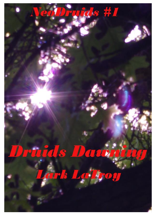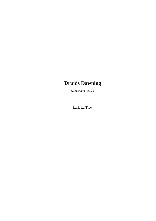# **Druids Dawning**

*NeoDruids Book 1*

Lark La Troy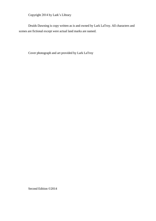Copyright 2014 by Lark's Library

Druids Dawning is copy written as is and owned by Lark LaTroy. All characters and scenes are fictional except were actual land marks are named.

Cover photograph and art provided by Lark LaTroy

Second Edition ©2014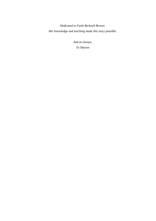*Dedicated to Faith Bicknell-Brown: Her knowledge and teaching made this story possible.*

> *And as always, To Sharon*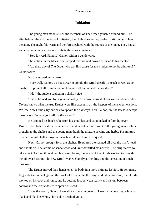## **Initiation**

The young man stood still as the members of The Order gathered around him. The altar held all the instruments of initiation; the High Priestess lay perfectly still in her role on the altar. The night felt warm and the forest echoed with the sounds of the night. They had all gathered under a new moon to initiate the newest member.

"Step forward, Falnon," Galnor said in a gentle voice

The initiate in the black robe stepped forward and bowed his head to his mentor.

"Are there any of The Order who can find cause for this student to not be admitted?" Galnor asked.

No one moved, nor spoke.

"Very well. Falnon, do you swear to uphold the Druid creed? To teach as well as be taught? To protect all from harm and to revere all nature and the goddess?"

"I do," the student replied in a shaky voice.

"I have trained you for a year and a day. You have learned of our ways and our codes. No one knows what the true Druids were like except in us, the keepers of the ancient wisdom. We, the New Druids, try our best to uphold the old ways. You, Falnon, are the latest to accept those ways. Prepare yourself for the vision."

He dropped his black robe from his shoulders and stood naked before the seven Druids. The High Priestess remained on the altar but her gaze went to the young man. Galnor brought up the chalice and the young man drank the mixture of wine and herbs. The mixture produced a mild hallucinogenic, which would aid him in his quest.

Next, Galnor brought forth the pitcher. He poured the scented oil over the man's head and shoulders. The aroma of sandalwood and lavender filled his nostrils. The drug started to take effect. As the oil ran down his naked frame, the hands of the Druids worked to smooth the oil over his skin. The new Druid swayed slightly as the drug and the sensation of touch took over.

The Druids moved their hands over his body in a more intimate fashion. He felt many fingers between his legs and the crack of his rear. As the drug worked on his mind, the Druids worked on his cock and rump, and he became lost between reality and vision, between control and the erotic desire to spread his seed.

"I see the world, Galnor; I am above it, soaring over it. I see it as a negative, white is black and black is white," he said in a stilted voice.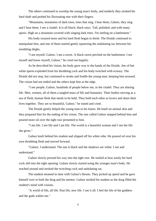The others continued to worship the young man's body, and tenderly they stroked his hard shaft and probed his fluctuating rear with their fingers.

"Mountains, mountains of dark trees, trees that sing. I hear them, Galnor, they sing and I hear them. I see a citadel. It is all black; black onyx. Tall, polished, and with many spires. High on a mountain covered with singing dark trees. I'm settling on a battlement."

His body swayed more and his hard flesh began to throb. The Druids continued to manipulate him, and one of them started gently squeezing the undulating sac between his trembling thighs.

"I see myself, Galnor. I am a raven. A black raven perched on the battlement. I see myself and know myself, Galnor," he cried out happily.

As he described his vision, his body gave way to the hands of the Druids. Jets of hot white sperm exploded from his throbbing cock and his body twitched with ecstasy. The Druids did not stop, but continued to stroke and fondle the young man, keeping him aroused. The vision had not ended and the others kept him at the edge.

"I see people, Galnor, hundreds of people below me, in the citadel. They are sharing life. Men, women, all of them a tangled mass of life and humanity. Their bodies moving as a sea of flesh, human flesh that needs to be held. They hold each other as lovers and share their lives together. They are so beautiful, Galnor," he stated and cried.

The Druids gently helped the young man to his knees. He knelt on animal skin and they prepared him for the ending of his vision. The one called Galnor stepped behind him and poured more oil over the tight rear presented to him.

"I am life. I see life and I am life. The world is a beautiful woman and I see the life she gives."

Galnor knelt behind his student and slipped off his white robe. He poured oil over his own throbbing flesh and moved forward.

"Galnor, I understand. The sun is black and the shadows are white. I see and understand."

Galnor slowly pressed his way into the tight rear. He smiled at how easily his hard cock slid into the tight opening. Galnor slowly started using the younger man's body. He reached around and stroked the twitching cock and undulating sac.

The student moaned in time with Galnor's thrusts. They picked up speed and he gave himself over to both the drug and his mentor. Galnor stroked his student as the drug filled the student's mind with visions.

"A world of life, all life. Past life, new life. I see it all. I feel the life of the goddess and the gods within me."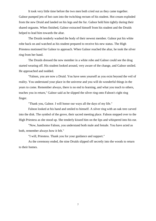It took very little time before the two men both cried out as they came together. Galnor pumped jets of hot cum into the twitching rectum of his student. Hot cream exploded from the new Druid and landed on his legs and the fur. Galnor held him tightly during their shared orgasms. When finished, Galnor extracted himself from his student and the Druids helped to lead him towards the altar.

The Druids tenderly washed the body of their newest member. Galnor put his white robe back on and watched as his student prepared to receive his new status. The High Priestess motioned for Galnor to approach. When Galnor reached the altar, he took the silver ring from her hand.

The Druids dressed the new member in a white robe and Galnor could see the drug started wearing off. His student looked around, very aware of the change, and Galnor smiled. He approached and nodded.

"Falnon, you are now a Druid. You have seen yourself as you exist beyond the veil of reality. You understand your place in the universe and you will do wonderful things in the years to come. Remember always, there is no end to learning, and what you teach to others, teaches you in return," Galnor said as he slipped the silver ring onto Falnon's right ring finger.

"Thank you, Galnor. I will honor our ways all the days of my life."

Falnon looked at his hand and smiled to himself. A silver ring with an oak tree carved into the disk. The symbol of the grove, their sacred meeting place. Falnon stepped over to the High Priestess as she stood up. She tenderly kissed him on the lips and whispered into his ear.

"Now, handsome Falnon, you understand both male and female. You have acted as both, remember always how it felt."

"I will, Priestess. Thank you for your guidance and support."

As the ceremony ended, the nine Druids slipped off secretly into the woods to return to their homes.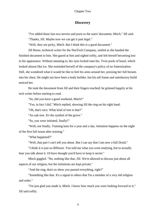### **Discovery**

"I've added those last two servers and ports to the users' document, Mitch," Jill said. "Thanks, Jill. Maybe now we can get it past legal."

"Well, they are picky, Mitch. But I think this is a good document."

Jill Reese, technical writer for the NeoTech Company, smiled as she handed the finished document to him. She gazed at him and sighed softly, and felt herself becoming lost in his appearance. Without meaning to, her eyes locked onto his. Twin pools of hazel, which looked almost like ice. She reminded herself of the company's policy of no fraternization. Still, she wondered what it would be like to feel his arms around her, pressing her full breasts into his chest. He might not have been a body builder, but his tall frame and satisfactory build enticed her.

He took the document from Jill and their fingers touched; he grinned happily at his tech writer before starting to read.

"So, did you have a good weekend, Mitch?"

"Yes, in fact I did," Mitch replied, showing Jill the ring on his right hand.

"Oh, that's nice. What kind of tree is that?"

"An oak tree. It's the symbol of the grove."

"So, you were initiated, finally?"

"Well, not finally. Training lasts for a year and a day. Initiation happens on the night of the first full moon after training."

"What happened?"

"Well, that part I can't tell you about. But I can say that I am now a full Druid."

"I think it is just so different. You told me what you were studying, but to actually hear you talk about it. I'd have thought you'd have to keep it secret."

Mitch giggled. "No, nothing like that, Jill. We're allowed to discuss just about all aspects of our religion, but the initiations are kept private."

"And the ring, that's to show you passed everything, right?"

"Something like that. It's a signal to others that I'm a member of a very old religion and order."

"I'm just glad you made it, Mitch. I know how much you were looking forward to it," Jill said softly.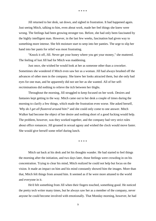\* \* \* \*

Jill returned to her desk, sat down, and sighed in frustration. It had happened again. Just seeing Mitch, talking to him, even about work, made her feel things she knew were wrong. The feelings had been growing stronger too. Before, she had only been fascinated by the highly intelligent man. However, in the last few weeks, fascination had given way to something more intense. She felt moisture start to seep into her panties. The urge to slip her hand into her pants for relief was most frustrating.

"Knock it off, Jill. Never get your honey where you get your money," she muttered. The feeling of lust Jill had for Mitch was maddening.

Just once, she wished he would look at her as someone other than a coworker. Sometimes she wondered if Mitch even saw her as a woman. Jill had always brushed off the advances of other men in the company. She knew her looks attracted them, but she only had eyes for one man, and he apparently did not see her as she wanted. All of her selfrecriminations did nothing to relieve the itch between her thighs.

Throughout the morning, Jill struggled to keep focused on her work. Desires and fantasies kept getting in the way. Mitch came out to her desk a couple of times during the morning to clarify a few things, which made the frustration even worse. She asked herself, *'Why do I get all flustered around him?'* and she could only come to one answer. Mitch Walker had become the object of her desire and nothing short of a good fucking would help. The problem, however, was they worked together, and the company had very strict rules about office romances. Jill groaned in sexual agony and wished the clock would move faster. She would give herself some relief during lunch.

\* \* \* \*

Mitch sat back at his desk and let his thoughts wander. He had started to feel things the morning after the initiation, and two days later, those feelings were crowding in on his concentration. Trying to clear his mind, Mitch realized he could not help but focus on the vision. It made an impact on him and his mind constantly showed him the images. More than that, Mitch felt things from around him. It seemed as if he were more attuned to the world and everyone in it.

He'd felt something from Jill when their fingers touched, something good. He noticed the pretty tech writer many times, but he always saw her as a member of the company, never anyone he could become involved with emotionally. That Monday morning, however, he had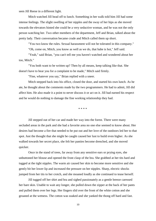seen Jill Reese in a different light.

Mitch watched Jill head off to lunch. Something in her walk told him Jill had some intense feelings. The slight swelling of her nipples and the sway of her hips as she moved towards the elevators hinted she could be a very seductive woman, and he was not the only person watching her. Two other members of the department, Jeff and Brian, talked about the pretty lady. Their conversation became crude and Mitch called them up short.

"You two know the rules. Sexual harassment will not be tolerated in this company."

"Oh, come on, Mitch, you know as well as we do, that babe is hot," Jeff said.

"Yeah," said Brian, "you can't tell me you haven't watched and wondered about her too, Mitch."

"You both want to be written up? Then by all means, keep talking like that. She doesn't have to hear you for a complaint to be made," Mitch said firmly.

"Fine, whatever you say," Brian replied with a sneer.

Mitch stepped back into his office, closed the door, and started his own lunch. As he ate, he thought about the comments made by the two programmers. He had to admit, Jill did affect him. He also made it a point to never discuss it or act on it. Jill had earned his respect and he would do nothing to damage the fine working relationship they had.

\* \* \* \*

Jill stepped out of her car and made her way into the forest. There were many secluded areas in the park and she had a favorite area no one else seemed to know about. Her desires had become a fire that needed to be put out and her love of the outdoors led her to that spot. Just the thought that she might be caught caused her lust to build even higher. As she walked towards her secret place, she felt her panties become drenched, and she moved quicker.

Once in the stand of trees, far away from any sensitive ears or prying eyes, she unbuttoned her blouse and opened the front clasp of the bra. She grabbed at her tits hard and tugged at the tight nipples. The warm air caused her skin to become more sensitive and she gently bit her lower lip and increased the pressure on her nipples. Sharp, electric shocks jumped from her tits to her crotch, and she moaned loudly as she continued to tease herself.

Jill tugged off her shirt and bra and sighed passionately as a gentle breeze caressed her bare skin. Unable to wait any longer, she pulled down the zipper at the back of her pants and pulled them over her legs. Her fingers slid over the front of the white cotton and she groaned at the wetness. The cotton was soaked and she yanked the thong off hard and fast.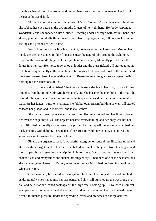She threw herself onto the ground and ran her hands over her body, increasing her lustful desires a thousand-fold.

She kept in mind an image, the image of Mitch Walker. As she fantasized about him, she rubbed her clit between the two middle fingers of her right hand. Her body responded wonderfully and she moaned a little louder. Reaching under her thigh with her left hand, she slowly pumped the middle finger in and out of her dripping opening. Jill became lost in her feelings and groaned Mitch's name.

Warm liquid ran from Jill's hot opening, down over her puckered rear. Moving her hand, she used the soaked middle finger to smear the natural lube around the tight hole. Slipping the two middle fingers of the right hand into herself, Jill gently pushed the other finger into her rear. Her voice grew a touch louder and the grass tickled. Jill started to pump both hands rhythmically at the same time. The singing birds covered most of the sounds and the warm breeze kissed her sensitive skin. Jill Reese became one giant sense organ, feeling nothing but the sensations of lust.

For Jill, the world vanished. The intense pleasure she felt in her body drove all other thoughts from her mind. Only Mitch remained, and she became the plaything of the man she desired. She gave herself over to him in the fantasy and he used her in the most incredible ways. As her fantasy built to its climax, she felt her own orgasm building as well. Jill started to tease her g-spot, and in moments, she lost all control.

She bit her lower lip as she started to come. Hot juice flowed and her fingers drove her over the edge into bliss. The orgasm became overwhelming and her body was not her own. Jill cried out loudly as she came. She pushed her butt up off the ground and arched her back, shaking with delight. It seemed as if her orgasm would never stop. The power and sensations kept growing the longer it lasted.

Finally the orgasm passed. A wonderful afterglow of sensual lust filled her mind and she brought her right hand to her face. She licked and sucked the juices from her fingers and then dipped those fingers into the dripping hole for more. Many times her fingers found her soaked flesh and many times she sucked her fingers dry. It had been one of the best sessions she had ever given herself. Jill's only regret was the fact Mitch had not been inside of her when she came.

Once satisfied, Jill started to dress again. She found her thong still soaked and laid it aside. Rapidly, she slipped into her bra, pants, and shirt. Jill bunched up the wet thong in a ball and held it as she leaned back against the large tree. Looking up, Jill watched a squirrel scamper along the branches and she smiled. It suddenly dawned on her that she had treated herself to intense pleasure, under the spreading leaves and branches of a large oak tree.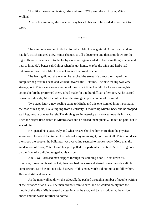"Just like the one on his ring," she muttered. "Why am I drawn to you, Mitch Walker?"

After a few minutes, she made her way back to her car. She needed to get back to work.

\* \* \* \*

The afternoon seemed to fly by, for which Mitch was grateful. After his coworkers had left, Mitch finished a few minor changes to Jill's document and then shut down for the night. He rode the elevator to the lobby alone and again started to feel something strange and new to him. He'd better call Galnor when he got home. Maybe the wine and herbs had unknown after-effects. Mitch was not so much worried as confused.

The feeling did not abate when he reached the street. He threw the strap of the computer bag over his head and walked towards the T-station. The new feeling was very strange, as if Mitch were somehow out of the correct time. He felt like he was seeing his actions before he preformed them. It had made for a rather difficult afternoon. As he started down the sidewalk, Mitch could not get the strange impression out of his mind.

Two steps later, a new feeling came to Mitch, and this one stunned him: it started at the base of his spine, like a tingling from electricity. It moved up Mitch's back and he stopped walking, unsure of what he felt. The tingle grew in intensity as it moved towards his head. Then the bright flash flared in Mitch's eyes and he closed them quickly. He felt no pain, but it scared him.

He opened his eyes slowly and what he saw shocked him more than the physical sensation. The world had turned to shades of gray in his sight, no color at all. Mitch could see the street, the people, the buildings, yet everything seemed to move slowly. More than the sudden loss of color, Mitch found his gaze pulled in a particular direction. A revolving door on the front of a building tugged at his vision.

A tall, well-dressed man stepped through the spinning door. He set down his briefcase, threw on his suit jacket, then grabbed the case and started down the sidewalk. For some reason, Mitch could not take his eyes off this man. Mitch did not move to follow him. He stood still and watched.

As the man walked down the sidewalk, he pushed through a number of people waiting at the entrance of an alley. The man did not seem to care, and he walked boldly into the mouth of the alley. Mitch sensed danger in what he saw, and just as suddenly, the vision ended and the world returned to normal.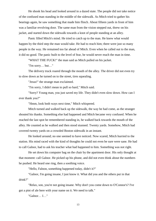He shook his head and looked around in a dazed state. The people did not take notice of the confused man standing in the middle of the sidewalk. As Mitch tried to gather his bearings again, he saw something that made him flinch. About fifteen yards in front of him was a familiar revolving door. The same man from the vision stepped out, threw on his jacket, and started down the sidewalk towards a knot of people standing at an alley.

Panic filled Mitch's mind. He tried to catch up to the man. He knew what would happen by the third step the man would take. He had to reach him; there were just so many people in the way. He remained too far ahead of Mitch. Even when he called out to the man, it did no good. The panic built to the level of fear, he would never reach the man in time.

"WHAT THE FUCK!" the man said as Mitch pulled on his jacket.

"I'm sorry… but…"

The delivery truck roared through the mouth of the alley. The driver did not even try to slow down as he turned on to the street, tires squealing.

"Jesus!" the strange man exclaimed.

"I'm sorry, I didn't mean to pull so hard," Mitch said.

"Sorry? Young man, you just saved my life. They didn't even slow down. How can I ever thank you?"

"Hmm, look both ways next time," Mitch whispered.

Mitch turned and walked back up the sidewalk, the way he had come, as the stranger shouted his thanks. Something else had happened and Mitch became very confused. When he reached the last spot he remembered standing in, he walked back towards the mouth of the alley. He counted as he walked and then stood stunned. Twenty yards. Somehow, Mitch had covered twenty yards on a crowded Boston sidewalk in an instant.

He looked around; no one seemed to have noticed. Now scared, Mitch hurried to the station. His mind raced with the kind of thoughts he could not even be sure were sane. He had to call Galnor, had to ask his teacher what had happened to him. Something was not right.

He set down his computer bag on the chair by the apartment door. His only thought at that moment: call Galnor. He picked up his phone, and did not even think about the numbers he pushed. He heard one ring, then a soothing voice.

"Hello, Falnon, something happened today, didn't it?"

"Galnor, I'm going insane, I just know it. What did you and the others put in that drink?"

"Relax, son, you're not going insane. Why don't you come down to O'Connor's? I've got a pint of ale here with your name on it. We need to talk."

"Galnor… I…"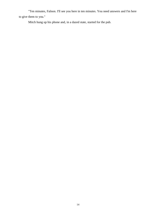"Ten minutes, Falnon. I'll see you here in ten minutes. You need answers and I'm here to give them to you."

Mitch hung up his phone and, in a dazed state, started for the pub.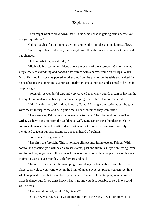### **Explanations**

"You might want to slow down there, Falnon. No sense in getting drunk before you ask your questions."

Galnor laughed for a moment as Mitch drained the pint glass in one long swallow.

"Why stay sober? If it's real, then everything I thought I understood about the world has changed."

"Tell me what happened today."

Mitch told his teacher and friend about the events of the afternoon. Galnor listened very closely to everything and nodded a few times with a narrow smile on his lips. When Mitch finished his story, he poured another pint from the pitcher on the table and waited for his teacher to say something. Galnor sat quietly for several minutes and seemed to be lost in deep thought.

"Foresight. A wonderful gift, and very coveted too. Many Druids dream of having the foresight, but to also have been given blink-stepping. Incredible," Galnor muttered.

"I don't understand. What does it mean, Galnor? I thought the stories about the gifts were meant to inspire me and help guide me. I never dreamed they were true."

"They are true, Falnon, insofar as we have told you. The other eight of us in The Order, we have our gifts from the Goddess as well. Lang can create a thunderclap. Celice controls elements. I have the gift of deep darkness. But to receive these two, one only mentioned twice in our oral traditions, this is unheard of, Falnon."

"So, what are they, really?"

"The first: the foresight. This is no mere glimpse into future events, Falnon. With control and practice, you will be able to see events, past and future, as if you are living them, and for as long as you want. It can be as little as setting your sight a couple of seconds ahead in time to weeks, even months. Both forward and back.

The second, we call it blink-stepping. I would say it's being able to step from one place, to any place you want to be, in the blink of an eye. Not just places you can see, like what happened today, but even places you know. However, blink-stepping to an unknown place is dangerous. If you don't know what is around you, it is possible to step into a solid wall of rock."

"That would be bad, wouldn't it, Galnor?"

"You'd never survive. You would become part of the rock, or wall, or other solid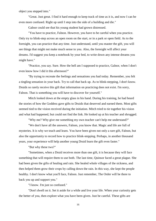object you stepped into."

"Great. Just great. I find it hard enough to keep track of time as it is, and now I can be even more confused. Right up until I step into the side of a building and die."

Galnor could see that his young student had grown distressed.

"You have to practice, Falnon. However, you have to be careful when you practice. Only try to blink-step across an open room on the start, or in a park or open field. As to the foresight, you can practice that any time. Just understand, until you master the gift, you will see things that might not make much sense to you. Also, the foresight will affect your dreams. I'd suggest you keep a notebook by your bed, to write down any intense dreams you might have."

"Practice, you say. Sure. How the hell am I supposed to practice, Galnor, when I don't even know how I did it this afternoon?"

"By trying to recreate the feelings and sensations you had today. Remember, you felt a tingling sensation in your back. Try to call that back up. As to blink-stepping, I don't know. Druids so rarely receive this gift that information on practicing does not exist. I'm sorry, Falnon. That is something you will have to discover for yourself."

Mitch looked down at the empty glass in his hand. During his training, he had heard the stories of how the Goddess gave gifts to Druids that deserved and earned them. Most gifts seemed tied to the vision received during the initiation. Mitch tried to tie together his vision and what had happened, but could not find the link. He looked up at his teacher and shrugged.

"Why me? Why give me something my own teacher can't help me understand?"

"We don't have all the answers, Falnon, you know that. Magic and life are full of mysteries. It is why we teach and learn. You have been given not only a rare gift, Falnon, but also the opportunity to record how to practice blink-stepping. Perhaps, in another thousand years, your experience will help another young Druid learn the gift even faster."

"But why these two?"

"Sometimes, when a Druid receives more than one gift, it is because they will face something that will require them to use both. The last time, Quinsor faced a great plague. She had been given the gifts of healing and rain. She healed whole villages of the sickness, and then helped them grow their crops by calling down the rain. In this way, she kept the people healthy. I don't know what you'll face, Falnon. Just remember, The Order will be there to back you up and support you."

"I know. I'm just so confused."

"Don't dwell on it. Set it aside for a while and live your life. When your curiosity gets the better of you, then explore what you have been given. Just be careful. These gifts are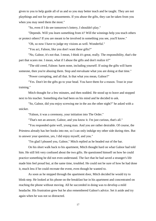given to you to help guide all of us and so you may better teach and be taught. They are not playthings and not for petty amusements. If you abuse the gifts, they can be taken from you when you may need them the most."

"So, even if I do see tomorrow's lottery, I shouldn't play."

"Depends. Will you learn something from it? Will the winnings help you teach others or protect others? If you are meant to be involved in something you see, you'll know."

"Oh, so now I have to judge my visions as well. Wonderful."

"You act, Falnon, like you don't want these gifts?"

"No, Galnor, it's not that. I mean, I think it's great, really. The responsibility, that's the part that scares me. I mean, what if I abuse the gifts and don't realize it?"

"The old creed, Falnon: harm none, including yourself. If using the gifts will harm someone, then you're abusing them. Stop and reevaluate what you are doing at that time."

"Power corrupting, and all that. Is that what you mean, Galnor?"

"Yes. Don't let the gifts go to your head. You have them for a reason. Trust in your training."

Mitch thought for a few minutes, and then nodded. He stood up to leave and stopped next to his teacher. Something else had been on his mind and he decided to ask.

"So, Galnor, did you enjoy screwing me in the ass the other night?" he asked with a snicker.

"Falnon, it was a ceremony, your initiation into The Order."

"That's not an answer, Galnor, and you know it. I'm just curious, that's all."

"You responded quite well, young man. And you are rather desirable. Of course, the Priestess already has her hooks into me, so I can only indulge my other side during rites. But to answer your question, yes, I did enjoy myself, and you."

"I'm glad I pleased you, Galnor," Mitch replied as he headed out of the bar.

On his short walk back to his apartment, Mitch thought hard on what Galnor had told him. He still felt very confused about the two gifts. He questioned himself on how he could practice something he did not even understand. The fact that he had saved a stranger's life made him feel proud but, at the same time, troubled. He could not be sure of how he had done it, much less if he could recreate the event, even though he wanted to.

As soon as he stepped through the apartment door, Mitch decided he would try to blink-step. He looked at his phone on the breakfast bar in his apartment and concentrated on reaching the phone without moving. All he succeeded in doing was to develop a mild headache. His frustration grew but he also remembered Galnor's advice. Set it aside and try again when he was not so distracted.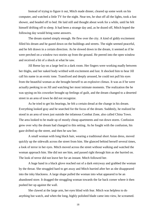Instead of trying to figure it out, Mitch made dinner, cleared up some work on his computer, and watched a little TV for the night. Near ten, he shut off all the lights, took a fast shower, and headed off to bed. He laid still and thought about work for a while, until he felt himself drifting off to sleep. It had been a strange day and, as he dozed off, Mitch hoped the following day would bring some answers.

The dream started simply enough. He flew over the city. A kind of giddy excitement filled his dream and he gazed down on the buildings and streets. The night seemed peaceful, and he felt drawn in a certain direction. As he slowed down in the dream, it seemed as if he were perched on a window two stories up from the ground. He peered into the open window and received a bit of a shock at what he saw.

Jill Reese lay on a large bed in a dark room. Her fingers were working madly between her thighs, and her naked body writhed with excitement and lust. It shocked him to hear Jill call his name in an erotic tone. Transfixed and deeply aroused, he could not pull his eyes from the beautiful woman as she brought herself to an explosive climax. It was as if he were actually peeking in on Jill and watching her most intimate moments. The realization the he was spying on his coworker brought up feelings of guilt, and the dream changed to a deserted street in an area of town he did not recognize.

As he tried to get his bearings, he felt a certain dread at the change in his dream. Everything looked gray and he searched for the focus of the dream. Suddenly, he realized he stood in an area of town just outside the infamous Combat Zone, also called China Town. The area looked to be made up of mostly cheap apartments and run down stores. Confusion grew over why the dream had changed to this setting. As he fought with the confusion, his gaze drifted up the street, and then he saw her.

A small woman with long black hair, wearing a traditional short Asian dress, moved quickly up the sidewalk across the street from him. She glanced behind herself several times, a look of terror in her eyes. Mitch moved across the street without walking and watched the woman approach him. She did not see him, and passed right through him as she hurried on. The look of terror did not leave her for an instant. Mitch followed her.

A huge hand in a black glove reached out of a dark entryway and grabbed the woman by the throat. She struggled hard to get away and Mitch hurried after her as she disappeared into the inky blackness. A large shape pulled the woman into what appeared to be an abandoned store. It dragged the struggling woman towards the far back corner where it then pushed her up against the wall.

She clawed at the large arm, her eyes blind with fear. Mitch was helpless to do anything but watch, and when the long, highly polished blade came into view, he screamed.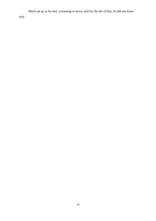Mitch sat up in his bed, screaming in terror, and for the life of him, he did not know why.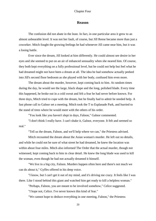#### **Reason**

The confusion did not abate in the least. In fact, in one particular area it grew to an almost unbearable level. It was not her fault, of course, but Jill Reese became more than just a coworker. Mitch fought the growing feelings he had whenever Jill came near him, but it was a losing battle.

Ever since the dream, Jill looked at him differently. He could almost see desire in her eyes and she seemed to put on an air of enhanced sensuality when she neared him. Of course, they both kept everything on a fully professional level, but he could not help but feel what he had dreamed might not have been a dream at all. The idea he had somehow actually peeked into Jill's second floor bedroom as she played with her body, confused him even more.

The dream about the murder, however, kept coming back to him. At random times during the day, he would see the large, black shape and the long, polished blade. Every time this happened, he broke out in a cold sweat and felt a fear he had never before known. For three days, Mitch tried to cope with the dream, but he finally had to admit he needed help. A fast phone call to Galnor set a meeting. Mitch took the T to Esplanade Park, and hurried to the stand of trees where he would meet with the others of his order.

"You look like you haven't slept in days, Falnon," Galnor commented.

"I don't think I really have. I can't shake it, Galnor, everyone. It felt and seemed so real."

"Tell us the dream, Falnon, and we'll help where we can," the Priestess advised.

Mitch recounted the dream about the Asian woman's murder. He left out no details, and while he could not be sure of what street he had dreamed, he knew the location was within about four miles. Mitch also informed The Order that the actual murder, though not witnessed, kept coming back to him in clear detail. He knew the long blade was used to kill the woman, even though he had not actually dreamed it himself.

"We live in a big city, Falnon. Murders happen often here and there's not much we can do about it," Gyffes offered in his deep voice.

"I know, but I can't get it out of my mind, and it's driving me crazy. It feels like I was there. Like I stood behind this giant and watched him get ready to kill a helpless woman."

"Perhaps, Falnon, you are meant to be involved somehow," Celice suggested.

"I hope not, Celice. I've never known this kind of fear."

"We cannot hope to deduce everything in one meeting, Falnon," the Priestess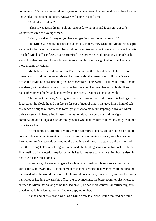commented. "Perhaps you will dream again, or have a vision that will add more clues to your knowledge. Be patient and open. Answer will come in good time."

"And what if I don't?"

"Then it was just a dream, Falnon. Take it for what it is and focus on your gifts," Galnor reassured the younger man.

"Yeah, practice. Do any of you have suggestions for me in that regard?"

The Druids all shook their heads but smiled. In turn, they each told Mitch that his gifts were his to discover on his own. They could only advise him about how not to abuse the gifts. This left Mitch still confused, but he promised The Order he would practice, as much as he knew. He also promised he would keep in touch with them through Galnor if he had any more dreams or visions.

Mitch, however, did not inform The Order about the other dream. He felt the one dream about Jill should remain private. Unfortunately, the dream about Jill made it very difficult for Mitch to practice his gifts, or concentrate on his work. Jill filled his mind and he wondered, with embarrassment, if what he had dreamed had been her actual body. If so, Jill had a phenomenal body, and, apparently, some pretty deep passions to go with it.

Throughout the days, Mitch gained a certain amount of control over his feelings. If he focused on the clock, he did not feel so far out of natural time. This gave him a kind of selfassurance he might yet master the foresight gift. As to his blink-stepping, however, Mitch only succeeded in frustrating himself. Try as he might, he could not find the right combination of feelings, desire, or thoughts that would allow him to move instantly from one place to another.

By the tenth day after the dreams, Mitch felt more at peace, enough so that he could concentrate again on his work, and he started to focus on seeing events, just a few seconds into the future. He learned, by keeping the time interval short, he actually did gain control over the foresight. The unsettling part remained, the tingling sensation in his back, with the final feeling of an electrical explosion in his head. It never actually hurt him, but he also did not care for the sensation at all.

Even though he started to get a handle on the foresight, his success caused more confusion with regard to Jill. It bothered him that his greatest achievement with the foresight happened when he would focus on Jill. He would concentrate, think of Jill, and see her doing her work, or heading towards his office, the copy machine, the break room, or elsewhere. It seemed to Mitch that as long as he focused on Jill, he had more control. Unfortunately, this practice made him feel guilty, as if he were spying on her.

As the end of his second week as a Druid drew to a close, Mitch realized he would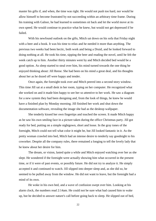master his gifts if, and when, the time was right. He would not push too hard, nor would he allow himself to become frustrated by not succeeding within an arbitrary time frame. During his training with Galnor, he had learned to sometimes sit back and let the world move at its own speed. He would continue to practice what he knew, but would not get depressed if he failed.

With his newfound outlook on the gifts, Mitch sat down on his sofa that Friday night with a beer and a book. It was his time to relax and he needed it more than anything. The previous two weeks had been hectic, both work and being a Druid, and he looked forward to doing nothing at all. He took his time, sipping the beer and reading the novel, until he felt the week catch up to him. Another thirty minutes went by and Mitch decided bed would be a good option. As sleep started to steal over him, his mind turned towards the one thing he enjoyed thinking about: Jill Reese. She had been on his mind a great deal, and his thoughts about her as he dozed off were happy and tender.

Once again, the foresight took over and Mitch peered into a second story window. This time Jill sat at a small desk in her room, typing on her computer. He recognized what she worked on and it made him happy to see her so attentive to her work. He saw a diagram for a new system they had been designing and, from the look of things, he knew he would have a finished plan by Monday morning. Jill finished her work and shut down the documentation software, revealing the image she had as the desktop wallpaper.

She tenderly kissed her own fingertips and touched the screen. It made Mitch happy as he saw his own smiling face in a picture taken during the office Christmas party. Jill got ready for bed, putting on a simple nightgown, short and loose. In the gray tones of the foresight, Mitch could not tell what color it might be, but Jill looked fantastic in it. As the pretty woman crawled into bed, Mitch had an intense desire to tenderly say goodnight to his coworker. Despite all the company rules, there remained a longing to tell the lovely lady that he knew about her desire for him.

The dream, or vision, lasted quite a while and Mitch enjoyed watching over her as she slept. He wondered if the foresight were actually showing him what occurred in the present time, or if it were of past events, or possibly future. He did not try to analyze it. He simply accepted it and continued to watch. Jill slipped into deeper sleep and, as she did so, he seemed to be pulled away from the window. He did not want to leave, but the foresight had a mind of its own.

He woke in his own bed, and a wave of confusion swept over him. Looking at his alarm clock, the numbers read 2:14am. He could not be sure what had caused him to wake up, but he decided to answer nature's call before going back to sleep. He slipped out of bed,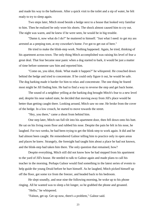and made his way to the bathroom. After a quick visit to the toilet and a sip of water, he felt ready to try to sleep again.

Two steps later, Mitch stood beside a hedge next to a house that looked very familiar to him. Then he realized he only wore his shorts. The shock almost caused him to cry out. The night was warm, and he knew if he were seen, he would be in big trouble.

"Damn it, now what do I do?" he muttered to himself. "Just what I need: to get my ass arrested as a peeping tom, at my coworker's home. I've got to get out of here."

He tried to make the blink-step work. Nothing happened. Again, he tried, thinking of his apartment across town. The only thing Mitch accomplished was raising his level of fear a great deal. That fear became near panic when a dog started to bark, it would be just a matter of time before someone saw him and reported him.

"Come on, you idiot, think. What made it happen?" he whispered. He crouched down behind the hedge and tried to concentrate. If he could only figure it out, he would be safe. The dog barking made it harder for him to relax and concentrate. The one thing he feared most might be Jill finding him. He had to find a way to reverse the step and get back home.

The sound of a neighbor yelling at the barking dog brought Mitch's fear to a new level and, despite his near naked state, he decided that moving away from Jill's place would be better than getting caught there. Looking around, Mitch saw no one. He broke from the cover of the hedge. In a low crouch, he started to move towards the street.

"Hey, you there," came a shout from behind him.

One step later, Mitch ran full tilt into his apartment door, then fell down onto his butt. He sat on his living room floor and rubbed his nose. Despite the pain he felt in his nose, he laughed. For two weeks, he had been trying to get the blink-step to work again. It did and he had almost been caught. He remembered Galnor telling him to practice only in open areas and places he knew. Strangely, the foresight had taught him about a place he had not known, and the blink-step had taken him there. The only question that remained, how?

Despite everything, Mitch still did not know how he had stepped from his apartment to the yard of Jill's house. He needed to talk to Galnor again and made plans to call his teacher in the morning. Perhaps Galnor would find something in the latest series of events to help guide the young Druid before he hurt himself. As he laughed, Mitch picked himself up off the floor, got some ice from the freezer, and headed back to his bedroom.

He slept soundly, and near nine the following morning, he woke up to his phone ringing. All he wanted was to sleep a bit longer, so he grabbed the phone and groaned.

"Hello," he whispered.

"Falnon, get up. Get up now, there's a problem," Galnor said.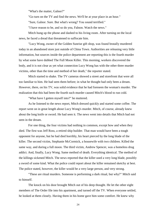"What's the matter, Galnor?"

"Go turn on the TV and find the news. We'll be at your place in an hour."

"Sure, Galnor. Sure. But what's wrong? You sound terrified."

"I have reason to be, and so do you, Falnon. Watch the news."

Mitch hung up the phone and dashed to his living room. After turning on the local news, he faced a dread that threatened to suffocate him.

"Lucy Wong, owner of the Golden Sunrise gift shop, was found brutally murdered today in an abandoned store just outside of China Town. Authorities are releasing very little information, but sources inside the police department are reporting this is the fourth murder by what some have dubbed The Full Moon Killer. This morning, workers discovered the body, and it is not clear as yet what connection Lucy Wong has with the other three murder victims, other than the time and method of her death," the reporter stated.

Mitch started to shake. The TV cameras showed a street and storefront that were all too familiar to him. He had seen them before; in what he thought had only been a dream. However, there, on his TV, was solid evidence that he had foreseen the woman's murder. The realization that this had been the fourth such murder caused Mitch's blood to run cold.

"What have I gotten myself into?" he muttered.

As he listened to the news report, Mitch dressed quickly and started some coffee. The report went on in great length about Lucy Wong's murder. Mitch, of course, already knew about the long knife or sword. He had seen it. The news went into details that Mitch had not seen in the dream.

For one thing, the four victims had nothing in common, except how and when they died. The first was Jeff Ross, a retired ship builder. That man would have been a tough opponent for anyone, but he had died horribly, his heart pierced by the long blade of the killer. The second victim, Stephanie McCormick, a housewife with two children. Killed the same way, and during a full moon. The third victim, Andrew Spencer, was a homeless drug addict. And, finally, Lucy Wong. Same method of death. Everything identical. The method of the killings sickened Mitch. The news reported that the killer used a very long blade, possibly a sword of some kind. What the police could report about the killer remained sketchy at best. The police stated, however, the killer would be a very large person, and very strong.

"These are ritual murders. Someone is performing a dark ritual, but why?" Mitch said to himself.

The knock on his door brought Mitch out of his deep thought. He let the other eight members of The Order file into his apartment, and turned off the TV. When everyone settled, he looked at them closely. Having them in his home gave him some comfort. He knew why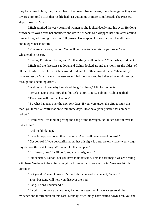they had come to him; they had all heard the dream. Nevertheless, the solemn gazes they cast towards him told Mitch that his life had just gotten much more complicated. The Priestess stepped over to Mitch.

Mitch admired the very beautiful woman as she looked deeply into his eyes. Her long brown hair flowed over her shoulders and down her back. She wrapped her slim arms around him and hugged him tightly to her full breasts. He wrapped his arms around her slim waist and hugged her in return.

"You are not alone, Falnon. You will not have to face this on your own," she whispered in his ear.

"I know, Priestess. I know, and I'm thankful you all are here," Mitch whispered back.

Mitch and the Priestess sat down and Galnor looked around the room. As the oldest of all the Druids in The Order, Galnor would lead and the others would listen. When his eyes came to rest on Mitch, a warm reassurance filled the room and he believed he might yet get through the upcoming ordeal.

"Well, now I know why I received the gifts I have," Mitch commented.

"Perhaps. Don't be so sure that this task is ours to face, Falnon," Galnor replied.

"Then how will I know, Galnor?"

"By what happens over the next few days. If you were given the gifts to fight this man, you'll receive confirmation within three days. How have your practice session been going?"

"Hmm, well, I'm kind of getting the hang of the foresight. Not much control over it, but a little."

"And the blink-step?"

"It's only happened one other time now. And I still have no real control."

"Get control. If you get confirmation that this fight is ours, we only have twenty-eight days before the next killing. We cannot let that happen."

"I… I mean, how? I still don't know what triggers it."

"I understand, Falnon, but you have to understand. This is dark magic we are dealing with here. We have to be at full strength, all nine of us, if we are to win. We can't let this continue."

"But you don't even know if it's our fight. You said so yourself, Galnor."

"True, but Lang will help you discover the truth."

"Lang? I don't understand."

"I work in the police department, Falnon. A detective. I have access to all the evidence and information on this case. Monday, after things have settled down a bit, you and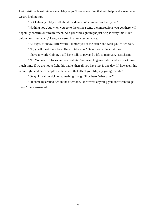I will visit the latest crime scene. Maybe you'll see something that will help us discover who we are looking for."

"But I already told you all about the dream. What more can I tell you?"

"Nothing now, but when you go to the crime scene, the impressions you get there will hopefully confirm our involvement. And your foresight might just help identify this killer before he strikes again," Lang answered in a very tender voice.

"All right. Monday. After work. I'll meet you at the office and we'll go," Mitch said.

"No, you'll meet Lang here. He will take you," Galnor stated in a flat tone.

"I have to work, Galnor. I still have bills to pay and a life to maintain," Mitch said.

"No. You need to focus and concentrate. You need to gain control and we don't have much time. If we are not to fight this battle, then all you have lost is one day. If, however, this is our fight, and more people die, how will that affect your life, my young friend?"

"Okay, I'll call in sick, or something. Lang, I'll be here. What time?"

"I'll come by around two in the afternoon. Don't wear anything you don't want to get dirty," Lang answered.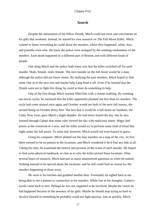#### **Search**

Despite the admonition of his fellow Druids, Mitch could not relax and concentrate on his gifts that weekend. Instead, he started his own research on The Full Moon Killer. Mitch wanted to know everything he could about the murders, where they happened, when, how, and possibly even why. He knew the police were stumped by the seeming randomness of the murders. Each death happened in a different part of Boston, and with different kinds of people.

One thing Mitch and the police both knew was that the killer switched off for each murder. Male, female, male, female. The next murder on the full moon would be a man, although the police did not know where. By studying the past murders, Mitch hoped to find some clue as to the next one and maybe help Lang head it off. Even if he learned that the Druids were not to fight this thing, he could at least do something to help.

One of the first things Mitch learned filled him with a certain loathing. By counting out moon cycles, he surmised that the killer apparently planned not less than six murders. The cycle had come around once again and October would see both of the next full moons, the second being on October thirty-first. The fact that it would be a full moon on Samhain, the Celtic New Year, gave Mitch a slight shudder. He had never feared the day, but he also learned through Galnor that some cults viewed the day with malicious intent. Magic had power at the crossroad of a year, and the killer would try to perform some kind of ritual that night under the full moon. To what end, however, Mitch would not even hazard to guess.

Using his computer, Mitch plotted out the four murders on a map of the city. At first there seemed to be no pattern to the locations, and Mitch wondered if he'd find any link at all. Taking his time, he examined the history and pictures of the scene of each murder. He hoped to find some physical landmark, or clue as to why the killer picked those locations. After several hours of research, Mitch had just as many unanswered questions as when he started. Nothing seemed to be special about the locations, and he still could find no reason for the murders happening in those areas.

He went to his kitchen and grabbed another beer. Frustrated, he sighed hard at not being able to see a pattern or connection in the murders. While lost in his thoughts, Galnor's words came back to him. Perhaps he was not supposed to be involved. Maybe the vision he had happened because of the newness of his gifts. Maybe he should stop trying so hard to involve himself in something he probably could not fight anyway. Just as quickly, Mitch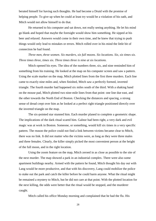berated himself for having such thoughts. He had become a Druid with the promise of helping people. To give up when he could at least try would be a violation of his oath, and Mitch would not allow himself to do that.

He returned to his computer and sat down, not really seeing anything. He let his mind go blank and hoped that maybe the foresight would show him something. He sipped at his beer and relaxed. Answers would come in their own time, and he knew that trying to push things would only lead to mistakes or errors. Mitch rolled over in his mind the little bit of connection he had found.

*Three men, three women. Six murders, six full moons. Six locations. Six, six times six. Three times three, times six. Three times three is nine at six locations.*

Mitch opened his eyes. The idea of the numbers three, six, and nine reminded him of something from his training. He looked at the map on his computer screen and saw a pattern. Using the scale marker on the map, Mitch plotted lines from the first three murders. Each line came to exactly nine miles and, when finished, Mitch saw a perfectly formed, inverted triangle. The fourth murder had happened six miles south of the third. With a shaking hand on the mouse pad, Mitch plotted two nine-mile lines from that point: one line due east, and the other towards the North End of Boston. Checking the distances and spacing, a strong sense of dread crept over him as he looked at a perfect right triangle positioned directly over the inverted triangle on the map.

The six-pointed star stunned him. Each murder planed to complete a geometric shape. The implications of the dark ritual scared him. Galnor had been right, a very dark and evil magic was at work in Boston. Someone, or something, would kill six times in a very specific pattern. The reason the police could not find a link between victims became clear to Mitch, there was no link. It did not matter who the victims were, as long as they were three males and three females. Clearly, the killer simply picked the most convenient person at the height of the full moon, and in the right location.

Using the zoom feature on the map, Mitch zeroed in as close as possible to the site of the next murder. The map showed a park in an industrial complex. There were also some apartment buildings nearby. Armed with the pattern he found, Mitch thought his day out with Lang would be more productive, and that with his discovery, Lang could mobilize the police to stake out the park and catch the killer before he could harm anyone. What the ritual might be remained a mystery to Mitch, but he did not care at that point. With the plotted location for the next killing, the odds were better that the ritual would be stopped, and the murderer caught.

Mitch called his office Monday morning and complained that he had the flu. His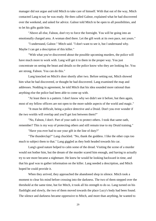manager did not argue and told Mitch to take care of himself. With that out of the way, Mitch contacted Lang to say he was ready. He then called Galnor, explained what he had discovered over the weekend, and asked for advice. Galnor told Mitch to be open to all possibilities, and to let his gifts guide him.

"Above all else, Falnon, don't try to force the foresight. You will be going into an emotionally charged area. A woman died there. Let the gift work at its own pace, not yours."

"I understand, Galnor." Mitch said. "I don't want to see it, but I understand why. Maybe I can get a description of this killer."

"With what you've discovered about the possible upcoming murders, the police will have much more to work with. Lang will get it to them in the proper way. You just concentrate on seeing the beast and details so the police know who they are looking for. You are strong, Falnon. You can do this."

Lang knocked on Mitch's door shortly after two. Before setting out, Mitch showed him what he had discovered, or thought he had discovered. Lang examined the map and addresses. Nodding in agreement, he told Mitch that his idea sounded more rational than anything else the police had been able to come up with.

"At least there is a pattern. I don't know why we didn't see it before, but then again, most of my fellow officers are not open to the more subtle aspects of the world and magic."

"It must be difficult, being a police detective and a Druid. Don't you ever wonder if the two worlds will overlap and you'll get lost between them?"

"No, Falnon, I don't. Part of your oath is to protect others. I took that same oath, remember? This is my way of protecting others and still remain true to my Druid training."

"Have you ever had to use your gift in the line of duty?"

"The thunderclap?" Lang chuckled. "No, thank the goddess. I like the other cops too much to subject them to that." Lang giggled as they both headed towards his car.

Lang's good nature helped to calm some of the dread. Visiting the scene of a murder would not bother him, but the dream of the murder scared him enough, and having to actually try to see more became a nightmare. He knew he would be looking backward in time, and that his goal was to gather information on the killer. Lang needed a description, and Mitch hoped he could provide it.

When they arrived, they approached the abandoned shop in silence. Mitch took a moment to clear his mind before crossing into the darkness. The two of them stepped over the threshold at the same time, but for Mitch, it took all his strength to do so. Lang turned on his flashlight and slowly, the two of them moved towards the place Lucy's body had been found. The silence and darkness became oppressive to Mitch, and more than anything, he wanted to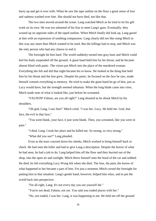hurry up and get it over with. When he saw the tape outline on the floor a great sense of loss and sadness washed over him. She should not have died, not like that.

The two men moved around the scene. Lang watched Mitch as he tried to let his gift work on its own. He was too ashamed of his fear to meet Lang's gaze. Eventually, they wound up on opposite sides of the taped outline. When Mitch finally did look up, Lang gazed at him with an expression of soothing compassion. Lang clearly did not like using Mitch in this way any more than Mitch wanted to be used. But the killings had to stop, and Mitch was the only person who had any chance to end it.

The foresight hit him hard. The world suddenly turned into gray hues and Mitch could feel his body suspended off the ground. A giant hand held him by his throat, and he became almost blind with panic. The vision put Mitch into the place of the murdered woman. Everything she felt and did that night became his to know. He looked at the thing that held him by his throat and the fear grew. Despite his panic, he focused on the face he saw, made himself commit everything to memory. He tried to make the giant hand let go of him, just as Lucy would have, but the strength seemed inhuman. When the long blade came into view, Mitch made note of what it looked like, just before he screamed.

"FALNON! Falnon, are you all right?" Lang shouted as he shook Mitch by his shoulders.

"Oh god, Lang, I saw him!" Mitch cried. "I was her. Lucy. He held me. God, that face, the evil in that face,"

"You went blank, your face, it just went blank. Then, you screamed, like you were in pain."

"I died, Lang. I took her place and he killed me. So strong, so very strong."

"What did you see?" Lang pleaded.

Even as the tears coursed down his cheeks, Mitch worked to bring himself back in check. He had seen the killer and had to give Lang a description. Despite the horror of what he had seen, he had a job to do. Lang helped him off the floor and they hurried out of the shop, into the open air and sunlight. Mitch threw himself onto the hood of the car and sobbed. He died; he felt everything Lucy Wong felt when she died. The fear, the pain, the horror of what happened to her became a part of him. For just a moment, Mitch cursed the foresight for putting him in that situation. Lang's gentle hand, however, helped him relax, and to put the world back into perspective.

"I'm all right, Lang. It's not every day you see yourself die."

"You're not dead, Falnon, not yet. You said you traded places with her."

"No, not traded, I was her. Lang, it was happening to me. He held me off the ground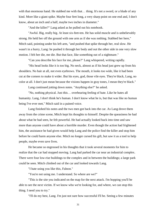with that enormous hand. He stabbed me with that... thing. It's not a sword, or a blade of any kind. More like a giant spike. Maybe four feet long, a very sharp point on one end and, I don't know, about an inch and a half, maybe two inches in diameter."

"And the killer?" Lang asked as he pulled out his notebook.

"Awful. Big, really big. At least six-feet-ten. He has solid muscle and is unbelievably strong. He held her off the ground with one arm as if she was nothing. Stabbed her here," Mitch said, pointing under his left arm, "and pushed that spike through her, real slow. He wasn't in a hurry, Lang: he pushed it through her body and out the other side in one very slow motion. I felt her die, me die. But that face, like something out of a nightmare."

"Can you describe his face for me, please?" Lang whispered, writing rapidly.

"His head looks like it is too big. No neck, almost as if his head just grew up from his shoulders. No hair at all, not even eyebrows. The mouth, it looks too wide, like it had been cut at the corners to make it wider. But his eyes, god, those vile eyes. They're black, Lang, no color at all. I don't just mean because the visions happen in gray tones, I mean they're black."

Lang continued jotting down notes. "Anything else?" he asked.

"No, nothing physical. Just this… overbearing feeling of hate. Like he hates all humanity. Lang, I don't think he's human. I don't know what he is, but that was like no human being I've ever met," Mitch said in a pained voice.

Lang finished his notes and the two men got back into the car. As Lang drove them away from the crime scene, Mitch kept his thoughts to himself. Despite the queasiness he had about what he had seen, he felt powerful. He had actually looked back into time and saw more than anyone could have about a horrible murder. Even though the action had frightened him, the assistance he had given would help Lang and the police find the killer and stop him before he could harm anyone else. Mitch no longer cursed his gift, but saw it as a tool to help people, maybe even save lives.

He became so engrossed in his thoughts that it took several moments for him to realize that the car had stopped moving. Lang had parked the car near an industrial complex. There were four low-rise buildings to the complex and in between the buildings; a large park could be seen. Mitch climbed out of the car and looked towards Lang.

"I hate using you like this, Falnon."

"You're not using me. I understand. So where are we?"

"This is the site you indicated on the map for the next attack. I'm hopping you'll be able to see the next victim. If we know who we're looking for, and where, we can stop this thing. I need you to try."

"I'll do my best, Lang. I'm just not sure how successful I'll be. Seeing a few minutes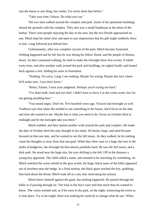into the future is one thing, but weeks, I've never done that before."

"Take your time, Falnon. Do what you can."

The two men walked around the complex and park. Some of the apartment buildings shared the grounds with the complex. They also saw a small boathouse at the shore of the harbor. There were people enjoying the day in the area, but the two Druids approached no one. Mitch kept his mind clear and open to any impressions that his gift might suddenly show to him. Lang followed just behind him.

Unfortunately, after two complete circuits of the park, Mitch became frustrated. Nothing happened and he felt that he was letting his fellow Druid, and the people of Boston, down. As they continued walking, he tried to make the foresight show him events. It failed every time, and after another walk around the park and buildings, he sighed loudly and leaned back against a tree, folding his arms in frustration.

"Nothing. I'm sorry, Lang, I see nothing. Maybe I'm wrong. Maybe this isn't where he'll strike next. I just don't know."

"Relax, Falnon. I trust your judgment. Perhaps you're trying too hard."

"I've done both, tried and not tried. I didn't have to force it at the crime scene, but I'm not getting anything here."

"You sound angry. Don't be. Five hundred years ago, Visscon had foresight as well. Tradition says that when she needed to see something in the future, she'd focus on the date and time she wanted to see. Maybe that is what you need to do. Focus on October third at midnight and let the foresight take you there."

Mitch nodded, and they started another walk around the park and complex. He made the date of October third the only thought in his mind. All desire, hope, and need became focused on that one date, and he wanted to see the full moon. As they walked, he let nothing cause his thoughts to stray from that one goal. When they drew near to a large elm tree in the midst of hedgerow, the foresight hit him almost painfully hard. He saw the full moon, and a dark park. He stood near the large elm, his eyes drifting to the left. Off in the distance a young boy appeared. The child called a name, and seemed to be searching for something. As Mitch watched the scene unfold in the gray world, the large, black mass of the killer appeared out of nowhere near the hedge. In a fluid motion, the black giant reached the boy, grabbing him hard about the throat. Mitch took off at a run, fear motivating his actions.

Mitch threw himself against the giant, but nothing happened. He passed through the killer as if passing through air. The look in the boy's eyes told him more than he wanted to know. The vision seemed real, as if he were in the park, on the night, witnessing the event as it took place. Try as he might, there was nothing he could do to change what he saw. When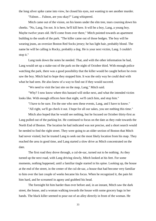the long silver spike came into view, he closed his eyes, not wanting to see another murder.

"Falnon… Falnon, are you okay?" Lang whispered.

Mitch came out of the vision, on his knees under the elm tree, tears coursing down his cheeks. "No, Lang, I'm not. It is here, he'll kill here. It will be a boy, Lang, a young boy. Maybe twelve years old. He'll come from over there," Mitch pointed towards an apartment building to the south of the park. "The killer came out of those hedges. The boy will be wearing jeans, an oversize Boston Red Socks jersey; he has light hair, probably blond. The name he will be calling is Rocky, probably a dog. He is your next victim, Lang. I couldn't stop it."

Lang took down the notes he needed. That, and with the other information he had, Lang would set up a stake-out of the park on the night of October third. With enough police watching the park, there was a good possibility that the killer would be caught before he even saw the boy. Mitch had to hope they stopped him. It was the only way he could deal with what he had seen. He also knew of a way to find out if they would succeed.

"We need to visit the last site on the map, Lang," Mitch said.

"Why? I now know where this bastard will strike next, and what the intended victim looks like. With enough officers here that night, we'll catch him, and stop him."

"I have to be sure. I'm the one who sees these events, Lang, and I have to know."

"All right, we'll go check it out. I hope for all our sakes, you see nothing this time."

Mitch also hoped that he would see nothing, but he focused on October thirty-first as Lang pulled out of the parking lot. He continued to focus on the date as they rode towards the North End of Boston. The location he had indicated was not precise, and a short search would be needed to find the right street. They were going to an older section of Boston that Mitch had never visited, but he trusted Lang to seek out the most likely location from his map. They reached the area in good time, and Lang started a slow drive as Mitch concentrated on the date.

The first road they drove through, a cul-de-sac, turned out to be nothing. As they turned up the next road, with Lang driving slowly, Mitch looked at his feet. For some moments, nothing happened, until a familiar tingle started in his spine. Looking up, the house at the end of the street, in the center of the cul-de-sac, a house that had become very familiar to him over the last couple of weeks became his focus. When he recognized it, the pain hit him hard, and he screamed in agony and grabbed his head.

The foresight hit him harder than ever before and, in an instant, Mitch saw the dark street, the house, and a woman walking towards the house with some grocery bags in her hands. The black killer seemed to pour out of an alley directly in front of the woman. He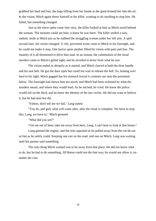grabbed her hard and fast, the bags falling from her hands as the giant hoisted her into the air. In the vision, Mitch again threw himself at the killer, wanting to do anything to stop him. He failed, but something changed.

Just as the silver spike came into view, the killer looked at him as Mitch stood behind the woman. The monster could see him; it knew he was there. The killer smiled a sick, sadistic smile at Mitch just as he stabbed the struggling woman under her left arm. A split second later, the vision changed. A vile, perverted scene came to Mitch in his foresight, and he could not make it stop. One horror upon another filled his vision with pain and fear. The insanity of it all threatened to drive him mad. In an instant, the culmination of the ritual murders came to Mitch's gifted sight, and he recoiled in terror from what he saw.

The vision ended as abruptly as it started, and Mitch clawed at both the door handle and his seat belt. He got the door open but could not wait to release the belt. So, leaning over hard to his right, Mitch gagged has his stomach forced it contents out onto the pavement below. The foresight had shown him too much, and Mitch had been sickened by what the murders meant, and where they would lead. As he retched, he cried. He knew the police would fail on the third, and he knew the identity of the last victim. He did not want to believe it, but he had seen her die.

"Falnon, don't tell me we fail," Lang stated.

"You do, and god, what will come after, after the ritual is complete. We have to stop this, Lang, we have to," Mitch groaned

"What did you see?"

"Get me out of here; take me away from here, Lang. I can't bear to look at that house."

Lang gunned the engine, and the tires squealed as he pulled away from the cul-de-sac as fast as he safely could. Keeping one eye on the road, and one on Mitch, Lang was waiting until his partner said something.

The only thing Mitch wanted was to be away from that place. He did not know what to do, but he had to do something. Jill Reese could not die that way; he would not allow it, no matter the cost.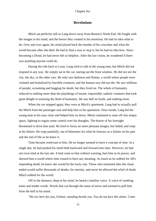## **Revelations**

Mitch sat perfectly still as Lang drove away from Boston's North End. He fought with the images in his mind, and the horror they created in his emotions. He had no idea what to do. Over and over again, his mind played back the murder of his coworker and what the world became after she died. He had to find a way to stop it, but he had no idea how. Since becoming a Druid, he had never felt so helpless. After the last vision, he wondered if there was anything anyone could do.

During the ride back to Lynn, Lang tried to talk to the young man, but Mitch did not respond in any way. He simply sat in the car, staring out the front window. He did not see the city, the sky, or the other cars. He only saw darkness and flames, a world where people were violated and brutalized by horrible creatures, and the human race did not die. He saw millions of people, screaming and begging for death, but they lived on. The whole of humanity reduced to nothing more than the playthings of insane, impossible, sadistic creatures that took great delight in torturing the flesh of humanity. He saw hell on Earth, and nothing more.

When the car stopped again, they were at Mitch's apartment. Lang had to actually pull the Mitch from the passenger seat and help him to his apartment. Once inside, Lang led the young man to his easy chair and helped him sit down. Mitch continued to stare off into empty space, fighting to regain some control over his thoughts. The horror of his foresight threatened to drive him mad. He tried to focus on more pleasant images, but failed, and wept at his failure. He wept painfully, out of bitterness for what he foresaw as a failure on his part and the end of life as he knew it.

Time became irrelevant to him. He no longer seemed to have a concept of time. In a single day, he had pushed his mind both backward and forward into time. However, he had not even tried at the last site. It had come to him without warning, hurt him in its power, and showed him a world where time ceased to have any meaning. As much as he sobbed for Jill's impending death, he knew she would be the lucky one. Those who remained after the ritual ended would suffer thousands of deaths, for eternity, and never be allowed the relief of death. Mitch sobbed for the world.

Off in the distance, deep in his mind, he heard a familiar voice. A voice of soothing tones and tender words. Words that cut through the maze of terror and seemed to pull him from the hell in his mind.

*"We are here for you, Falnon, standing beside you. You do not face this alone. Come*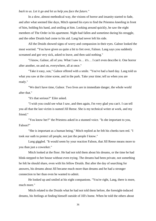#### *back to us. Let it go and let us help you face the future."*

In a slow, almost methodical way, the visions of horror and insanity started to fade, and after what seemed like days, Mitch opened his eyes to find the Priestess kneeling in front of him, holding his hand, and smiling at him. Looking around quickly, he saw the eight members of The Order in his apartment. Night had fallen and sometime during his struggle, and the other Druids had come to his aid. Lang had never left his side.

All the Druids showed signs of worry and compassion in their eyes. Galnor looked the most worried. "You have given us quite a bit to fret over, Falnon. Lang says you suddenly screamed and got very sick, asked to leave, and then said nothing."

"I know, Galnor, all of you. What I saw is… it's… I can't even describe it. One horror after another, on and on, everywhere, all at once."

"Take it easy, son," Galnor offered with a smile. "You've had a hard day. Lang told us what you saw at the crime scene, and in the park. Take your time; tell us when you are ready."

"We don't have time, Galnor. Two lives are in immediate danger, the whole world after that."

"It's that serious?" Eiler asked.

"I wish you could see what I saw, and then again, I'm very glad you can't. I can tell you all that the last victim is named Jill Reese. She is my technical writer at work, and my friend."

"You know her?" the Priestess asked in a stunned voice. "Is she important to you, Falnon?"

"She is important as a human being," Mitch replied as he felt his cheeks turn red. "I took our oath to protect all people, not just the people I know."

Lang giggled. *"*It would seem by your reaction Falnon, that Jill Reese means more to you than just a coworker."

Mitch looked at the floor. He had not told them about his dreams, or the time he had blink-stepped to her house without even trying. The dreams had been private, not something he felt he should share, even with his fellow Druids. But after the day of searching for answers, his dreams about Jill became much more than dreams and he had a stronger connection to her than even he wanted to admit.

He looked up and smiled at his eight companions. "You're right, Lang, there is more, much more."

Mitch related to the Druids what he had not told them before, the foresight-induced dreams, his feelings at finding himself outside of Jill's home. When he told the others about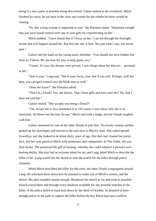being in a near panic at possibly being discovered, Galnor smiled at the revelation. Mitch finished his story; he sat back in the chair and waited for the rebuke he knew would be coming.

*"*So, this young woman is important to you," the Priestess stated. "Important enough that you have found control over one of your gifts by concentrating on her."

Mitch nodded. "I have found that if I focus on her, I can see through the foresight, events that will happen around her. But this last one, it hurt. Not just what I saw, but actual pain."

Galnor laid his hand on the young man's shoulder. "You should not have hidden this from us, Falnon. We are here for you, to help guide you."

"I know. It's just, the dreams were private. I saw things about her that are… personal, to her."

"And to you," Lang said. "She is your focus, your link if you will. Perhaps, with her help, you can gain control over the blink-step as well."

"Does she know?" the Priestess asked.

"That I'm a Druid? Yes, she knows. That I have gifts and have seen her? No, that I have not told her."

Galnor smiled. "She accepts you being a Druid?"

"Yes, in fact she is very interested in it. Of course, I now know why she is so interested. Jill Reese has the hots for me," Mitch said with a laugh, and the Druids laughed with him.

Galnor motioned for one of the other Druids to join him. The lovely woman smiled, picked up her sketchpad, and moved to the sofa next to Mitch's chair. She called herself Gywellyn, and she looked to be about thirty years of age. Her dark hair framed her pretty face, and her eyes gazed at Mitch with tenderness and compassion. In The Order, she was their healer. She possessed the gift of healing, whereby she could enhance a person's own healing ability. She also had an extreme talent for art, and Lang asked Mitch to describe the killer to her. Lang would use the sketch to start the search for the killer through police channels.

While Mitch described the killer for the artist, the other Druids congregated around Lang. He informed them about how he planned to make use of Mitch's visions, and the sketch. His plan sounded simple enough. Broadcast the sketch as far and wide as possible. Search everywhere and through every database available for any possible matches to the killer. If the police failed to track him down by the third of October, he planned to have enough police in the park to capture the killer before the boy Mitch had seen could be

37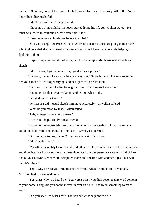harmed. Of course, none of them were fooled into a false sense of security. All of the Druids knew the police might fail.

"I doubt we will fail," Lang offered.

"I hope not. That child has not even started living his life yet," Galnor stated. "He must be allowed to continue on, safe from this killer."

"I just hope we catch this guy before the third."

"You will, Lang," the Priestess said "After all, Boston's finest are going to be on the job. And once that sketch is broadcast on television, you'll have the whole city helping you find this… thing."

Despite forty-five minutes of work, and three attempts, Mitch groaned at the latest sketch.

"I don't know, I guess I'm not very good at descriptions."

"It's okay, Falnon, I know the image scares you," Gywellyn said. The tenderness in her voice made Mitch stop worrying, and he sighed with resignation.

"He does scare me. The last foresight vision, I could swear he saw me."

"Just relax. Look at what we've got and tell me what to do."

"I'm glad you didn't see it."

"Perhaps if I did, I could sketch him more accurately," Gywellyn offered.

"What do you mean by that?" Mitch asked.

"This, Priestess, some help please."

"How can I help?" the Priestess offered.

"Falnon is having trouble describing the killer in accurate detail. I was hoping you could touch his mind and let me see the face," Gywellyn suggested

"Do you agree to this, Falnon?" the Priestess asked in return.

"I don't understand."

"My gift is the ability to touch and read other people's minds. I can see their memories and thoughts. But I can also transmit those thoughts from one person to another. Kind of like one of your networks, where one computer shares information with another. I just do it with people's minds."

"That's why I heard you. You touched my mind when I couldn't find a way out," Mitch replied in a stunned voice.

"Yes, that's why you heard me. You were so lost, you didn't even realize we'd come in to your home. Lang said you hadn't moved in over an hour. I had to do something to reach you."

"Did you see? See what I saw? Did you see what he plans to do?"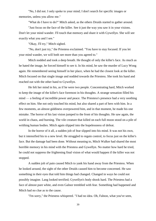"No, I did not. I only spoke to your mind; I don't search for specific images or memories, unless you allow me."

"What do I have to do?" Mitch asked, as the others Druids started to gather around.

"Just focus on the face of the killer. See it just the way you saw it in your visions. Don't let your mind wander. I'll touch that memory and share it with Gywellyn. She will see exactly what you and I see."

"Okay, I'll try," Mitch sighed.

"No, don't just try," the Priestess exclaimed. "You have to stay focused. If you let your mind wander, we will both see more than you agreed to."

Mitch nodded and took a deep breath. He thought of only the killer's face. As much as he hated the image, he forced himself to see it. In his mind, he saw the murder of Lucy Wong again. He remembered seeing himself in her place, when he had the closest look at the killer. Mitch focused on that single image and nodded towards the Priestess. She took his hand and reached out with the other hand to Gywellyn.

He felt her mind in his, as if he were two people. Concentrating hard, Mitch worked to keep the image of the killer's face foremost in his thoughts. A strange sensation filled his mind — a feeling of incredible power and peace. The Priestess's presence had a very soothing effect on him. She not only touched his mind, but also shared a part of hers with him. In a few moments, an almost giddiness overpowered him, and in that moment, he made his one mistake. The horror of his last vision jumped to the front of his thoughts. He saw again, the world in chaos, and burning. The vile creature that killed on each full moon stood on a pile of writhing human bodies. Mitch again slipped into the hopelessness of defeat.

In the horror of it all, a sudden jolt of fear slipped into his mind. It was not his own, but it intensified his to a new level. He struggled to regain control, to focus just on the killer's face. But the damage had been done. Without meaning to, Mitch Walker had shared the most horrible memory in his mind with the Priestess and Gywellyn. No matter how hard he tried, he could not suppress the frightening final vision of what would happen if the killer was not stopped.

A sudden jolt of pain caused Mitch to yank his hand away from the Priestess. When he looked around, the sight of the other Druids caused him to become concerned. He saw something in their eyes that told him things had changed. Changed in ways he could not possibly imagine. Lang looked terrified; Gywellyn's body shook hard. The Priestess had a face of almost pure white, and even Galnor trembled with fear. Something had happened and Mitch had no clue as to the cause.

"I'm sorry," the Priestess whispered. "I had no idea. Oh, Falnon, what you've seen,

39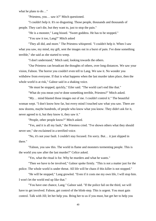what he plans to do…"

"Priestess, you… saw it?" Mitch questioned.

"I couldn't help it. It's so disgusting. Those people, thousands and thousands of people. They can't die, but they want to, just to stop the pain."

"He is a monster," Lang hissed. "Sweet goddess. He has to be stopped."

"You saw it too, Lang?" Mitch asked

"They all did, and more." The Priestess whispered. "I couldn't help it. When I saw what you saw, my mind, my gift, sent the images out in a burst of pain. I've done something terrible," she said as she started to weep.

"I don't understand," Mitch said, looking towards the others.

"Our Priestess can broadcast the thoughts of others, over long distances. We saw your vision, Falnon. The horror you couldn't even tell to Lang. We saw it. No wonder you withdrew from everyone. If that is what happens when the last murder takes place, then the whole world is at risk," Galnor said in a shaking voice.

"He must be stopped, quickly," Eiler said. "The world can't end like that."

"What do you mean you've done something terrible, Priestess?" Mitch asked.

"My… mind blasted those images out of me. I couldn't control it." The beautiful woman wept. "I don't know how far, but every mind I touched saw what you saw. There are now dozens, maybe hundreds, of people who know what you know. They didn't ask for it, never agreed to it, but they know it, they saw it."

"People, other people know?" Mitch asked.

"Yes, and it is all my fault," the Priestess cried. "I've shown others what they should never see," she exclaimed in a terrified voice.

"No, it's not your fault. I couldn't stay focused. I'm sorry. But… it just slipped in there."

"Falnon, you saw this. The world in flame and monsters tormenting people. This is the world you saw after the last murder?" Celice asked.

"Yes, what the ritual is for. Why he murders and what he wants."

"Then we have to be involved," Galnor spoke firmly. "This is not a matter just for the police. The whole world is under threat. All life will be chaos if this killer is not stopped."

"He will be stopped," Lang growled. "Even if it costs me my own life, I will stop him. I won't let the world end up like that."

"You have one chance, Lang." Galnor said. "If the police fail on the third, we will have to get involved. Falnon, get control of the blink-step. This is urgent. You must gain control. Talk with Jill; let her help you. Bring her to us if you must, but get her to help you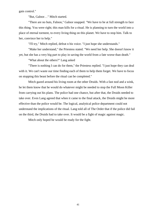gain control."

"But, Galnor…" Mitch started.

"There are no buts, Falnon," Galnor snapped. "We have to be at full strength to face this thing. You were right; this man kills for a ritual. He is planning to turn the world into a place of eternal torment, to every living thing on this planet. We have to stop him. Talk to her, convince her to help."

"I'll try," Mitch replied, defeat n his voice. "I just hope she understands."

"Make her understand," the Priestess stated. "We need her help. She doesn't know it yet, but she has a very big part to play in saving the world from a fate worse than death."

"What about the others?" Lang asked

"There is nothing I can do for them," the Priestess replied. "I just hope they can deal with it. We can't waste our time finding each of them to help them forget. We have to focus on stopping this beast before the ritual can be completed."

Mitch gazed around his living room at the other Druids. With a fast nod and a wink, he let them know that he would do whatever might be needed to stop the Full Moon Killer from carrying out his plans. The police had one chance, but after that, the Druids needed to take over. Even Lang agreed that when it came to the final attack, the Druids might be more effective than the police would be. The logical, analytical police department could not understand the implications of the ritual. Lang told all of The Order that if the police did fail on the third, the Druids had to take over. It would be a fight of magic against magic.

Mitch only hoped he would be ready for the fight.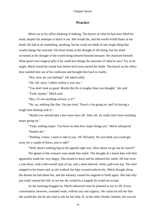## **Practice**

Mitch sat in his office thinking of nothing. The horror of what he had seen filled his mind, despite his attempts to block it out. She would die, and the world would flame at her death. He had to do something, anything, but he could not think of one single thing that would change the outcome. His heart broke at the thought of Jill dying, but his mind screamed at the thought of the world being tortured beyond measure. He chastised himself. What good were magical gifts if he could not change the outcome of what he saw? Try as he might, Mitch feared he would lose before he'd even started the battle. The knock on his office door startled him out of his confusion and brought him back to reality.

"Hey, how are you feeling?" Jill asked softly.

"Oh, Jill, sorry. I didn't realize it was you."

"You don't look so good. Maybe this flu is tougher than you thought," she said

"Yeah, maybe," Mitch said

"Hey, it's not anything serious, is it?"

"No, no, nothing like that. I'm just tired. There's a lot going on, and I'm having a tough time dealing with it."

"Maybe you should take a few more days off. After all, we really don't have anything major going on."

"Yeah, nothing major. You have no idea how major things are," Mitch whispered. "Pardon me."

"Nothing. Listen, I need to talk to you, Jill. Privately. Do you think you could get away for a couple of hours, just to talk?"

"Well, there's nothing big on the agenda right now. How about we go out for lunch?"

The gleam in the woman's eyes made him smile. The thought of a lunch date with him apparently made her very happy. She turned to leave and he admired her outfit. Jill had worn a cute dress, with a bib overall type of top, and a short-sleeved, white, pull-over top. The skirt stopped at her knees and, as she walked, her hips swayed seductively. Mitch thought about the dreams he had about her, and the memory caused his anguish to build again. She had only just really started her life; to see her die would be a tragedy he could not accept.

As the morning dragged on, Mitch rehearsed what he planned to say to Jill. Every conversation, however, sounded weak, without any real urgency. He could not tell her that she would die, but he also had to ask for her help. If, as the other Druids claimed, she was his

42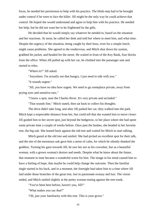focus, he needed her permission to help with his practice. The blink-step had to be brought under control if he were to face the killer. Jill might be the only way he could achieve that control. He hoped she would understand and agree to help him with his practice. He needed her help, but he did not want her to be frightened by the gifts.

He decided that he would simply say whatever he needed to, based on the situation and her reactions. At noon, he called her desk and told her where to meet him, and what time. Despite the urgency of the situation, being caught by their boss, even for a simple lunch, might cause problems. She agreed to the rendezvous, and Mitch shut down his system, grabbed his jacket, and headed for the street. He waited in front of the Key Bank, four blocks from the office. When Jill pulled up with her car, he climbed into the passenger seat and started to relax.

"Where to?" Jill asked.

"Anywhere. I'm actually not that hungry, I just need to talk with you."

"It sounds urgent."

"Jill, you have no idea how urgent. We need to go someplace private, away from prying eyes and sensitive ears."

"I know a spot, near the Charles River. It's very private and secluded."

"That sounds fine," Mitch stated, then sat back to collect his thoughts.

The drive didn't take long, and after Jill parked her car, they walked into the park. Mitch kept a respectable distance from her, but could tell that she wanted him to move closer. Jill guided him to her secret spot, just beyond the hedgerow, to her place where she had spent some private time a couple of weeks before. Once past the bushes, she headed to her favorite tree, the big oak. She leaned back against the old tree and waited for Mitch to start talking.

Mitch gazed at the old tree and smiled. She had picked an excellent spot for their talk, and the site of the enormous oak gave him a sense of calm, for which he silently thanked the goddess. Turning his gaze towards Jill, he saw her not as his coworker, but as a beautiful woman, with a grown woman's desires and needs. Despite what he knew about the future, that moment in time became a wonderful scene for him. The image in his mind caused him to have a feeling of hope, that maybe he could help change the outcome. Then the familiar tingle started in his back, and in a moment, the foresight had taken him to a time where Jill laid under those branches of the great tree, lost in passionate ecstasy and lust. The vision ended, and Mitch smiled slightly at the pretty woman resting against the tree trunk.

"You've been here before, haven't you, Jill?"

"What makes you say that?"

"Oh, just your familiarity with this tree. This is your grove."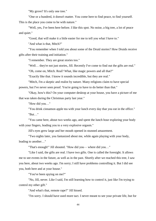"My grove? It's only one tree."

"One or a hundred, it doesn't matter. You come here to find peace, to find yourself. This is the place you come to be with nature."

"Well, yes, I've been here before. I like this spot. No noise, a big tree, a lot of peace and quiet."

"Good, that will make it a little easier for me to tell you what I have to."

"And what is that, Mitch?"

"You remember when I told you about some of the Druid stories? How Druids receive gifts after their training and initiation."

"I remember. They are great stories too."

"Well… they're not just stories, Jill. Recently I've come to find out the gifts are real."

"Oh, come on, Mitch. Real? What, like magic powers and all that?"

"Exactly like that. I know it sounds incredible, but they are real."

"Mitch, I'm a skeptic and realist by nature. Many religions claim to have special powers, but I've never seen proof. You're going to have to do better than that."

"Okay, how's this? On your computer desktop at your house, you have a picture of me that was taken during the Christmas party last year."

"How did you…"

"You drink cinnamon apple tea with your lunch every day that you eat in the office."

"But…"

"You came here, about two weeks ago, and spent the lunch hour exploring your body with your fingers, leading you to a very explosive orgasm."

Jill's eyes grew large and her mouth opened in stunned amazement.

"Two nights later, you fantasized about me, while again playing with your body, leading to another…"

"That's enough!" Jill shouted. "How did you— where did you…"

"Like I said, the gifts are real. I have two gifts. One is called the foresight. It allows me to see events in the future, as well as in the past. Shortly after we reached this tree, I saw you here, about two weeks ago. I'm sorry; I still have problems controlling it. But I did see you, both here and at your house."

"You've been spying on me?"

"No, Jill, never. Like I said, I'm still learning how to control it, just like I'm trying to control my other gift."

"And what's that, remote rape?" Jill hissed.

"I'm sorry. I should have used more tact. I never meant to see your private life, but for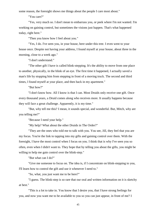some reason, the foresight shows me things about the people I care most about."

"You care?"

"Yes, very much so. I don't mean to embarrass you, or peek where I'm not wanted. I'm working on gaining control, but sometimes the visions just happen. That's what happened today, right here."

"Then you know how I feel about you."

"Yes, I do. I've seen you, in your house, here under this tree. I even went to your house once. Despite not having your address, I found myself at your house, about three in the morning, close to a week ago."

"I don't understand."

"The other gift I have is called blink-stepping. It's the ability to move from one place to another, physically, in the blink of an eye. The first time it happened, I actually saved a man's life by stopping him from stepping in front of a moving truck. The second and third times, I found myself at your place, and then back in my apartment."

"But how?"

"I don't know how. All I know is that I can. Most Druids only receive one gift. Once every thousand years, a Druid comes along who receives more. It usually happens because they will face a great challenge. Apparently, it is my time."

"But, why tell me this? I mean, it sounds special, and wonderful. But, Mitch, why are you telling me?"

"Because I need your help."

"My help? What about the other Druids in The Order?"

"They are the ones who told me to talk with you. You see, Jill, they feel that you are my focus. You're the link to tapping into my gifts and gaining control over them. With the foresight, I have the most control when I focus on you. I think that is why I've seen you so often, even when I didn't want to. They hope that by telling you about the gifts, you might be willing to help me gain control over the blink-step."

"But what can I do?"

"Give me someone to focus on. The idea is, if I concentrate on blink-stepping to you, I'll learn how to control the gift and use it whenever I need to."

"So, what, you just want me to be here?"

"I guess. The blink-step is so rare that our oral and written information on it is sketchy at best."

"This is a lot to take in. You know that I desire you, that I have strong feelings for you, and now you want me to be available to you so you can just appear, in front of me? I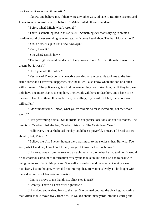don't know, it sounds a bit fantastic."

"I know, and believe me, if there were any other way, I'd take it. But time is short, and I have to gain control over this before…" Mitch trailed off and shuddered.

"Before what? Mitch, what's wrong?"

"There is something bad in this city, Jill. Something evil that is trying to create a horrible world of never-ending pain and agony. You've heard about The Full Moon Killer?"

"Yes, he struck again just a few days ago."

"Yeah, I saw it."

"You what? Mitch, how?"

"The foresight showed the death of Lucy Wong to me. At first I thought it was just a dream, but it wasn't."

"Have you told the police?"

"Yes, one of The Order is a detective working on the case. He took me to the latest crime scene and I saw what happened, saw the killer. I also know where the son of a bitch will strike next. The police are going to do whatever they can to stop him, but if they fail, we only have one more chance to stop him. The Druids will have to face him, and I have to be the one to lead the others. It is my burden, my calling, if you will. If I fail, the whole world will suffer."

"I don't understand. I mean, what you've told me so far is incredible, but the whole world?"

"He's performing a ritual. Six murders, in six precise locations, on six full moons. The next is on October third, the last, October thirty-first. The Celtic New Year."

"Halloween. I never believed the day could be so powerful. I mean, I'd heard stories about it, but, Mitch…"

"Believe me, Jill, I never thought there was much to the stories either. But what I've seen, what I've done, I don't doubt it any longer. I know far too much now."

Jill moved away from the tree and thought very hard on what he had told her. It would be an enormous amount of information for anyone to take in, but she also had to deal with being the focus of a Druid's powers. She walked slowly round the area, not saying a word, but clearly lost in thought. Mitch did not interrupt her. He waited silently as she fought with the sudden influx of fantastic information.

"Can you prove to me that this… blink-step is real?"

"I can try. That's all I can offer right now."

Jill nodded and walked back to the tree. She pointed out into the clearing, indicating that Mitch should move away from her. He walked about thirty yards into the clearing and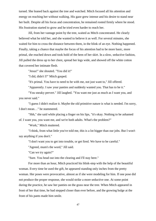turned. She leaned back against the tree and watched. Mitch focused all his attention and energy on reaching her without walking. His gaze grew intense and his desire to stand near her built. Despite all his focus and concentration, he remained rooted firmly where he stood. His frustration started to grow and he tried even harder to reach her.

Jill, from her vantage point by the tree, waited as Mitch concentrated. He clearly believed what he told her, and she wanted to believe it as well. For several minutes, she waited for him to cross the distance between them, in the blink of an eye. Nothing happened. Finally, taking a chance that maybe the focus of his attention had to be more basic, more primal, she reached down and took hold of the hem of her skirt. In a slow, seductive fashion, Jill pulled the dress up to her chest, spread her legs wide, and showed off the white cotton that covered her intimate flesh.

"Jesus!" she shouted. "You did it!"

"I did, didn't I?" Mitch gasped.

"It's primal. You have to need to be with me, not just want to," Jill offered.

"Apparently. I saw your panties and suddenly wanted you. That has to be it."

"You sneaky pervert." Jill laughed. "You want me just as much as I want you, and you never said."

"I guess I didn't realize it. Maybe the old primitive nature is what is needed. I'm sorry, I don't mean…" he stammered.

"Shh," she said while placing a finger on his lips, "it's okay. Nothing to be ashamed of. I want you, you want me, and we're both adults. What's the problem?"

"Work," Mitch muttered.

"I think, from what little you've told me, this is a lot bigger than our jobs. But I won't say anything if you don't."

"I don't want you to get into trouble, or get fired. We have to be careful."

"Agreed, mum's the word," Jill said.

"Can we try again?"

"Sure. You head out into the clearing and I'll stay here."

For more than an hour, Mitch practiced his blink-step with the help of the beautiful woman. Every time he used the gift, he appeared standing only inches from the pretty woman. Her poses were provocative, almost as if she were modeling for him. If one pose did not produce the proper response, she would strike a more seductive one. At some point during the practice, he saw her panties on the grass near the tree. When Mitch appeared in front of her that time, he had stepped closer than ever before, and the growing bulge at the front of his pants made him smile.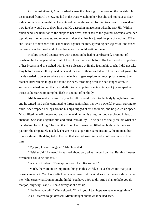On the last attempt, Mitch dashed across the clearing to the trees on the far side. He disappeared from Jill's view. He hid in the trees, watching her, but she did not have a clear indication where he might be. He watched her as she waited for him to appear. He wondered how far she would go to draw him out. He gasped in amazement when he saw Jill. With a quick hand, she unbuttoned the straps to her dress, and it fell to the ground. Seconds later, her top laid next to her panties, and moments after that, her bra joined the pile of clothing. When she kicked off her shoes and leaned back against the tree, spreading her legs wide, she raised her arms over her head, and closed her eyes. He could wait no longer.

His lips pressed against hers with a passion he had never dreamed. From out of nowhere, he had appeared in front of her, closer than ever before. His hand gently cupped one of her breasts, and she sighed with intense pleasure at finally feeling his touch. It did not take long before more clothes joined hers, and the two of them started to roll on the cool grass. His hands needed to be everywhere and she let his fingers explore her most private areas. She reached between his thighs and found the hard, throbbing flesh she had longed after. In seconds, she had guided that hard shaft into her sopping opening. A cry of joy escaped her throat as he started to pump his flesh in and out of her body.

Mitch groaned with erotic joy as he felt his seed rush into the body lying below him, and he tensed hard as he continued to thrust against her, her own powerful orgasm starting to build. She wrapped her legs around his hips, tugged at his shoulders, and he picked up speed. Mitch lifted her off the ground, and as he held her in his arms, her body exploded in lustful abandon. She shook against him and cried tears of joy. He helped her finally realize what she had desired for so long. The man that filled her dreams had filled her body with the warm passion she desperately needed. The answer to a question came instantly, the moment her orgasm started. He delighted in the fact that she did love him, and would continue to love him.

"My god, I never imagined." Mitch panted.

"Neither did I. I mean, I fantasized about you, what it would be like. But this, I never dreamed it could be like this."

"We're in trouble. If Dunlap finds out, he'll fire us both."

"Mitch, there are more important things in this world. You've shown me that your powers are a fact. You have gifts I can never have. But magic does exist. You've shown it to me. Who cares what Dunlap might think? You have a job to do. And I plan to help you do that job, any way I can," Jill said firmly as she sat up.

"I believe you will." Mitch sighed. "Thank you. I just hope we have enough time." As Jill started to get dressed, Mitch thought about what he had seen.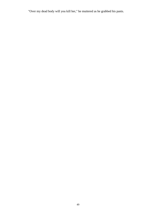"Over my dead body will you kill her," he muttered as he grabbed his pants.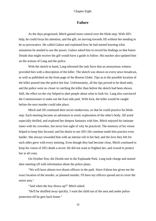## **Failure**

As the days progressed, Mitch gained more control over the blink-step. With Jill's help, he could focus his attention, and the gift, on moving towards Jill without her needing to be so provocative. He called Galnor and explained how he had started learning what sensations he needed to use the power. Galnor asked him to record his findings so that future Druids that might receive the gift would have a guide to follow. His teacher also updated him on the actions of Lang and the police.

With the sketch in hand, Lang informed the task force that an anonymous witness provided him with a description of the killer. The sketch was shown on every news broadcast, as well as published on the front page of the Boston Globe. Tips as to the possible location of the killer poured into the police hot line. Unfortunately, all the tips proved to be dead ends, and the police were no closer to catching the killer than before the sketch had been shown. Still, the effect on the city helped to alert people about what to look for. Lang also convinced the Commissioner to stake out the East side park. With luck, the killer would be caught before the next murder could take place.

Mitch and Jill continued their secret rendezvous, so that he could practice his blinkstep. Each meeting became an adventure in erotic exploration of the other's body. Jill acted especially thrilled, and explored her deepest fantasies with him. Mitch enjoyed his intimate times with his coworker, but never lost sight of why he practiced. The memory of his vision helped to keep him focused, and his desire to see Jill's life continue made him practice even harder. She always rewarded him with an intense roll in her bed, and the love they felt for each other grew with every meeting. Even though they had become close, Mitch continued to keep his vision of Jill's death a secret. He did not want to frighten her, and vowed to protect her at all costs.

On October first, the Druids met in the Esplanade Park. Lang took charge and started their meeting off with information about the police plans.

"We will have almost two-dozen officers in the park. Since Falnon has given me the exact location of the murder, or planned murder, I'll have my officers spread out to cover the entire area."

"And when the boy shows up?" Mitch asked.

"He'll be shuffled away quickly. I want the child out of the area and under police protection till he gets back home."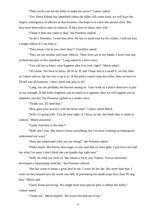"Then you'll wait for the killer to make his move?" Galnor asked.

"Yes. Since Falnon has identified where the killer will come from, we will have the largest contingency of officers in that location. Our hope is to catch this person alive. But they have been told to take no chances. If they have to shoot, they will."

"I hope it does not come to that," the Priestess replied.

"So do I, Priestess. I want him alive. He has to stand trial for his crimes. I will not lose a single officer if I can help it."

"They mean a lot to you, don't they?" Gywellyn asked.

"They are my brother and sister officers. Their lives are in my hands. I won't lose any of them because of this murderer," Lang stated in a firm voice.

"You will let us know what happens after it is over, right?" Mitch asked.

"Of course. We have to know, all of us. If, and I hope that is a small if, we fail, then as Galnor told us, the last site is up to us. If the police cannot stop this killer, then we have to. I'll tell you all honestly, I don't relish that idea at all."

"Lang, you are probably the bravest among us. Your work as a police detective is part of our strength. If this killer frightens you as much as it appears, then we will support you in whatever you do," the Priestess replied in a tender voice.

"Thank you. I'll need that."

"How goes your practice with the blink-step?" Galnor asked Mitch.

"Well, it's going well. You all were right, if I focus on her, the blink-step is easier to control," Mitch answered.

"Good. And how is the lady?"

"Well, she's fine. She doesn't know everything, but I've been working on helping her understand our ways."

"Does she understand what you are doing?" the Priestess asked.

"Pretty much. She knows that magic is real, and that we have gifts. I just have not told her what I've seen. I don't think she can handle that right now."

"Well, do what you have to. She means a lot to you, Falnon. You've obviously developed a relationship with her," the Priestess offered.

"She has come to mean a great deal to me. I won't let her die. But more than that, I won't let this bastard turn the world into hell. If preventing her death stops him, then I'll stop him," Mitch said.

"Good. Keep practicing. We might need your special gifts to defeat this killer," Galnor stated.

"I hope not," Mitch replied. "He scares the hell out of me."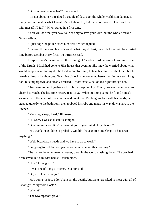"Do you want to save her?" Lang asked.

"It's not about her. I realized a couple of days ago; the whole world is in danger. It really does not matter what I want. It's not about Jill, but the whole world. How can I live with myself if I fail?" Mitch stated in a firm tone.

"You will do what you have to. Not only to save your love, but the whole world," Galnor offered.

"I just hope the police catch him first," Mitch replied.

"I agree. If Lang and his officers do what they do best, then this killer will be arrested long before October thirty-first," the Priestess said.

Despite Lang's reassurances, the evening of October third became a tense time for all of the Druids. Mitch had gone to Jill's house that evening. She knew he worried about what would happen near midnight. She tried to comfort him, to take his mind off the killer, but he remained lost in his thoughts. Near nine o'clock, she presented herself to him in a soft, long, dark blue nightgown, and clearly aroused. Unfortunately, he looked right through her.

They went to bed together and Jill fell asleep quickly. Mitch, however, continued to check his watch. The last time he saw read 11:32. When morning came, he found himself waking up to the smell of fresh coffee and breakfast. Rubbing his face with his hands, he stepped quickly to the bathroom, then grabbed his robe and made his way downstairs to the kitchen.

"Morning, sleepy head," Jill teased.

"Hi. Sorry I was so distant last night."

"Don't worry about it. You have things on your mind. Any visions?"

"No, thank the goddess. I probably wouldn't have gotten any sleep if I had seen anything."

"Well, breakfast is ready and we have to go to work."

"I'm going to call Galnor, just to see what went on this morning."

The call to the older man, however, brought the world crashing down. The boy had been saved, but a murder had still taken place.

"How? I thought…"

"It was one of Lang's officers," Galnor said.

"Oh, no. How is Lang?"

"He's doing his job. I don't have all the details, but Lang has asked to meet with all of us tonight, away from Boston."

"Where?"

"The Swampscott grove."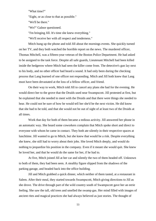"What time?"

"Eight, or as close to that as possible."

"We'll be there."

"We?" Galnor questioned.

"I'm bringing Jill. It's time she knew everything."

"We'll receive her with all respect and tenderness."

Mitch hung up the phone and told Jill about the mornings events. She quickly turned on her TV, and they both watched the horrible report on the news. The murdered officer, Thomas Mitchell, was a fifteen-year veteran of the Boston Police Department. He had asked to be assigned to the task force. Despite all safe guards, Lieutenant Mitchell had been killed inside the hedgerow where Mitch had seen the killer come from. The detective's gun lay next to his body, and no other officer had heard a sound. It had only been during the checking process that Lang learned of one officer not responding. Mitch and Jill both knew that Lang must have been devastated at the loss of a fellow officer, and friend.

On their way to work, Mitch told Jill to cancel any plans she had for the evening. He would direct her to the grove that the Druids used near Swampscott. Jill protested at first, but he explained that she needed to meet with the Druids and that there were things she needed to hear. He could not be sure of how he would tell her she'd be the next victim. He did know that she had to be told, and that she would not be out of sight of at least two of the Druids at all times.

Work that day for both of them became a tedious activity. Jill answered her phone in an automatic way. She heard some coworkers complain that Mitch spoke short and direct to everyone with whom he came in contact. They both ate silently in their respective spaces at lunchtime. Jill wanted to go to Mitch, but she knew that would be a risk. Despite everything she knew, she still had to worry about their jobs. She loved Mitch deeply, and would do nothing to jeopardize his position in the company. Even if it meant she would quit. She knew he loved her, and that he would do the same for her, if he had to.

At five, Mitch joined Jill at her car and silently the two of them headed off. Unknown to both of them, they had been seen. A stealthy figure slipped from the shadows of the parking garage, and headed back into the office building.

Jill and Mitch grabbed a quick dinner, which neither of them tasted, at a restaurant in Salem. After their meal, they started towards Swampscott, Mitch giving directions to Jill as she drove. The drive through part of the wild country south of Swampscott gave her an eerie feeling. She saw the tall, old trees and smelled the swamp gas. Her mind filled with images of ancient rites and magical practices she had always believed as just stories. The thought of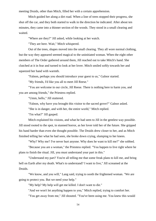meeting Druids, other than Mitch, filled her with a certain apprehension.

Mitch guided her along a dirt road. When a line of trees stopped their progress, she shut off the car, and they both started to walk in the direction he indicated. After about ten minutes, they came into a thinner section of the woods. They stood in a small clearing and waited.

"Where are they?" Jill asked, while looking at her watch.

"They are here. Wait," Mitch whispered.

Out of the trees, shapes moved into the small clearing. They all wore normal clothing, but the way they appeared seemed magical to the uninitiated woman. When the eight other members of The Order gathered around them, Jill reached out to take Mitch's hand. She clutched at it in fear and turned to look at her lover. Mitch smiled softly towards her and squeezed her hand with warmth.

"Falnon, perhaps you should introduce your guest to us," Galnor started.

"My friends, I'd like you all to meet Jill Reese."

"You are welcome in our circle, Jill Reese. There is nothing here to harm you, and you are among friends," the Priestess replied.

"Umm, hello," Jill stuttered.

"Falnon, why have you brought this visitor to the sacred grove?" Galnor asked.

"She is in danger, and with her, the entire world," Mitch replied.

"I'm what?" Jill gasped.

Mitch explained his visions, and what he had seen to Jill in the gentlest way possible. Jill stood rooted to the spot, in stunned horror, as her lover told her of the future. She gripped his hand harder than even she thought possible. The Druids drew closer to her, and as Mitch finished telling her what he had seen, she broke down crying, slumping to her knees.

"Why? Why me? I've never hurt anyone. Why does he want to kill me?" she sobbed.

"Because you are a woman," the Priestess replied. "You happen to live right where he plans to finish the ritual. Jill, you must understand your part in this."

"Understand my part? You're all telling me that some freak plans to kill me, and bring hell on Earth after my death. What's to understand? I want to live," Jill screamed at the Druids.

"We know, and you will," Lang said, trying to sooth the frightened woman. "We are going to protect you. But we need your help."

"My help? My help will get me killed. I don't want to die."

"And we won't let anything happen to you," Mitch replied, trying to comfort her.

"You get away from me," Jill shouted. "You've been using me. You knew this would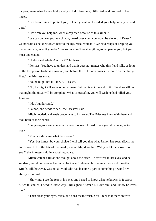happen, knew what he would do, and you hid it from me," Jill cried, and dropped to her knees.

"I've been trying to protect you, to keep you alive. I needed your help, now you need ours."

"How can you help me, when a cop died because of this killer?"

"We can be near you, watch you, guard over you. You won't be alone, Jill Reese," Galnor said as he knelt down next to the hysterical woman. "We have ways of keeping you under our care, even if you don't see us. We don't want anything to happen to you, but you must understand."

"Understand what? Am I bait?" Jill hissed.

"Perhaps. You have to understand that it does not matter who this fiend kills, as long as the last person to die is a woman, and before the full moon passes its zenith on the thirtyfirst," the Priestess stated.

"So, he might not kill me?" Jill asked.

"No, he might kill some other woman. But that is not the end of it. If he does kill on that night, the ritual will be complete. What comes after, you will wish he had killed you," Lang said.

"I don't understand."

"Falnon, she needs to see," the Priestess said.

Mitch nodded, and knelt down next to his lover. The Priestess knelt with them and took both of their hands.

"I'm going to show you what Falnon has seen. I need to ask you, do you agree to this?"

"You can show me what he's seen?"

"Yes, but it must be your choice. I will tell you that what Falnon has seen affects the entire world. It is the fate of this world, and all life, if we fail. Will you let me show it to you?" the Priestess said in a soothing voice.

Mitch watched Jill as she thought about the offer. He saw fear in her eyes, and he suddenly could not look at her. What he knew frightened him as much as it did the other Druids. Jill, however, was not a Druid. She had become a part of something beyond her ability to control.

"Show me. I see the fear in his eyes and I need to know what he knows. If it scares Mitch this much, I need to know why." Jill sighed. "After all, I love him, and I know he loves me."

"Then close your eyes, relax, and don't try to resist. You'll feel as if there are two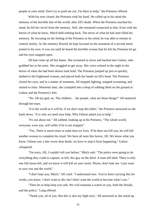people in your mind. Don't try to push me out, I'm there to help," the Priestess offered.

With his eyes closed, the Priestess took his hand. He called up in his mind the memory of the horrible fate of the world, after Jill's death. When the Priestess touched his mind, he felt her recoil from the memory. Still, she remained connected to him. Even with the horror of what he knew, Mitch held nothing back. The terror of what he had seen filled his memory. By focusing on the feeling of the Priestess in his mind, he was able to remain in control, barely. As the memory flowed, he kept focused on the sensation of a second mind, joined to his own. It was not until he heard the horrible scream that he felt the Priestess let go and his eyes snapped open.

Jill had come up off her knees. She screamed in terror and backed into Galnor, who grabbed her in his arms. She struggled to get away. Her voice echoed in the night as the horror of what she had been shown took hold. The Priestess jumped up just as quickly, dashed to the frightened woman, and placed both her hands on Jill's head. The Priestess closed her eyes, and in a matter of moments, Jill stopped fighting, stopped screaming, and started to relax. Moments later, she crumpled into a heap of sobbing flesh on the ground at Galnor and the Priestess's feet.

"No. Oh my god, no. The children… the people, what are those things?" Jill muttered through her tears.

"It is the world as it will be, if we don't stop this killer," the Priestess answered as she knelt down. "It is why we need your help. Why Falnon asked you to help."

"It's not about me," Jill sobbed, looking up at the Priestess. "The whole world, everyone, even you, will suffer if he is not stopped."

"Yes. There is much more at stake than six lives. If he does not kill you, he will kill another woman to complete his ritual. We have all seen this horror, Jill. We know what you know. Falnon saw a fate worse than death, we have to stop it from happening," Galnor whispered.

"I'm sorry, Jill, I couldn't tell you before," Mitch said. "The police were going to do everything they could to capture, or kill, this guy on the third. A man still died. There is only one full moon left, and we know it will kill on your street. Please, don't hate me. I just want to save you and the world."

*"*I don't hate you, Mitch," Jill cried. "I understand now. You've been carrying this for weeks, you know. I don't want to die, but I don't want the world to become what I saw."

"Then let us help keep you safe. We will maintain a watch on you, both the Druids, and the police," Lang offered.

"Thank you, all of you. But this is also my fight now," Jill answered as she stood up.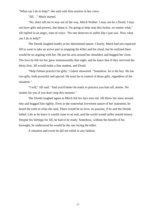"What can I do to help?" she said with firm resolve in her voice.

"Jill…" Mitch started.

"No, don't tell me to stay out of the way, Mitch Walker. I may not be a Druid, I may not have gifts and powers, but damn it, I'm going to help stop this fucker, no matter what," Jill replied in an angry, tone of voice. "No one deserves to suffer like I just saw. Now what can I do to help?"

The Druids laughed loudly at her determined nature. Clearly, Mitch had not expected Jill to want to take an active part in stopping the killer and his ritual, but he realized there would be no arguing with her. He put his arm around her shoulders and hugged her close. The love he felt for her grew immeasurably that night, and he knew that if they survived the thirty-first, Jill would make a fine student, and Druid.

"Help Falnon practice his gifts," Galnor answered. "Somehow, he is the key. He has two gifts, both powerful and special. He must be in control of those gifts, regardless of the situation."

"I will," Jill said. "And you'd better be ready to practice you butt off, mister. No nookie for you if you don't stop this monster."

The Druids laughed again as Mitch felt his face turn red. Jill threw her arms around him and hugged him tightly. Even in the somewhat irreverent nature of her statement, he heard the truth in what she said. There would be no love, no passion, if he and the Druids failed. Life as he knew it would come to an end, and the world would suffer untold misery. Despite his feelings for Jill, he had to be ready. Somehow, without the benefit of his foresight, he understood he would be the one facing the killer.

A situation and event he did not relish in any fashion.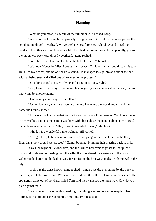## **Planning**

"What do you mean, by zenith of the full moon?" Jill asked Lang.

"We're not really sure, but apparently, this guy has to kill before the moon passes the zenith point, directly overhead. We've used the best forensics technology and timed the deaths of the other victims. Lieutenant Mitchell died before midnight, but apparently, just as the moon was overhead, directly overhead," Lang replied.

"So, if he misses that point in time, he fails. Is that it?" Jill asked.

"We hope. Honestly, Miss, I doubt if any power, Druid or human, could stop this guy. He killed my officer, and no one heard a sound. He managed to slip into and out of the park without being seen and killed one of my men in the process."

"You don't sound too sure of yourself, Lang. It is Lang, right?"

"Yes, Lang. That is my Druid name. Just as your young man is called Falnon, but you know him by another name."

"This is very confusing," Jill muttered.

"Just understand, Miss, we have two names. The name the world knows, and the name the Druids know."

"Jill, we all pick a name that we are known as for our Druid names. You know me as Mitch Walker, and it is the name I was born with, but I chose the name Falnon as my Druid name. It sounded a bit more Celtic, if you know what I mean," Mitch said.

"I think it is a wonderful name, Falnon," Jill replied.

"All right then, to business. We know we are going to face this killer on the thirtyfirst. Lang, how should we proceed?" Galnor boomed, bringing their meeting back to order.

It was the night of October fifth, and the Druids had come together to set up their plans and strategies for dealing with the killer that threatened the existence of the world. Galnor took charge and looked to Lang for advice on the best ways to deal with the evil in the city.

"Well, I really don't know," Lang replied. "I mean, we did everything by the book in the park, and I still lost a man. We saved the child, but the killer still got what he wanted. He apparently came out of nowhere, killed Tom, and then vanished the same way. How do you plan against that?"

"We have to come up with something. If nothing else, some way to keep him from killing, at least till after the appointed time," the Priestess said.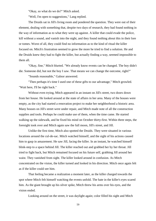"Okay, so what do we do?" Mitch asked.

"Well, I'm open to suggestions," Lang replied.

The Druids sat in Jill's living room and pondered the question. They were out of their element, dealing with something that, despite two days of research, they had found nothing in the way of information as to what they were up against. A killer that could evade the police, kill without a sound, and vanish into the night, and they found nothing about this in their lore or tomes. Worst of all, they could find no information as to the kind of ritual the killer focused on. Mitch's frustration seemed to grow the more he tried to find a solution. He and the Druids knew they had to fight the killer, but actually finding a way, seemed impossible to them all.

"Okay, fine," Mitch blurted. "We already know events can be changed. The boy didn't die. Someone did, but not the boy I saw. That means we can change the outcome, right?"

"Sounds reasonable," Galnor answered.

"Then perhaps it's time I used one of these gifts to our advantage," Mitch growled. "Wait here, I'll be right back."

Without even trying, Mitch appeared in an instant on Jill's street, two doors down from her house. He looked around at the state of affairs in her area. Many of the houses were empty, as the city had started a renovation project to make her neighborhood a historic area. Many houses on Jill's street were under repair, and Mitch made note of all the construction supplies and tools. Perhaps he could make use of them, when the time came. He started walking up the sidewalk, and he fixed his mind on October thirty-first. Within three steps, the foresight took over and Mitch again saw the full moon, Jill's street, and Jill.

Unlike the first time, Mitch also spotted the Druids. They were situated in various locations around the cul-de-sac. Mitch watched himself, and the sight of his actions caused him to gasp in amazement. He saw Jill, facing the killer. In an instant, he watched himself blink-step to a space behind Jill. The killer reached out and grabbed her by her throat. Jill tried to fight back, but Mitch remained focused on his future self, grabbing Jill around her waist. They vanished from sight. The killer looked around in confusion. As Mitch concentrated on the vision, the killer turned and looked in his direction. Mitch once again felt as if the killer could see him.

That feeling became a realization a moment later, as the killer charged towards the spot where Mitch felt himself watching the events unfold. The hate in the killer's eyes scared him. As the giant brought up his silver spike, Mitch threw his arms over his eyes, and the vision ended.

Looking around on the street, it was daylight again; color filled his sight and Mitch

59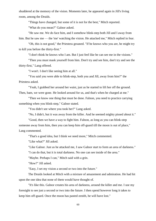shuddered at the memory of the vision. Moments later, he appeared again in Jill's living room, among the Druids.

"Things have changed, but some of it is not for the best," Mitch reported.

"What do you mean?" Galnor asked.

"He saw me. We do face him, and I somehow blink-step both Jill and I away from him. But he saw me — the 'me' watching the vision. He attacked me," Mitch replied in fear.

"Oh, this is not good," the Priestess groaned. "If he knows who you are, he might try to kill you before the thirty-first."

"I don't think he knows who I am. But I just feel like he can see me in the visions."

"Then you must mask yourself from him. Don't try and see him, don't try and see the thirty-first," Lang offered.

"I won't. I don't like seeing him at all."

"You said you were able to blink-step, both you and Jill, away from him?" the Priestess asked.

"Yeah, I grabbed her around her waist, just as he started to lift her off the ground. Then, bam, we were gone. He looked around for us, and that's when he charged at me."

"Then we know one thing that must be done. Falnon, you need to practice carrying something when you blink-step," Galnor stated.

"You didn't see where you took her?" Lang asked.

"No, I didn't, but it was away from the killer. And he seemed mighty pissed about it."

"Good, then we have a way to fight him. Falnon, as long as you can blink-step someone away from him, then you can keep him off-guard till the moon is out of place," Lang commented.

"That's a good idea, but I think we need more," Mitch commented.

"Like what?" Jill asked.

"Like Galnor. Just as he attacked me, I saw Galnor start to form an area of darkness."

"I can do that, but it is total darkness. No one can see inside of the area."

"Maybe. Perhaps I can," Mitch said with a grin.

"How?" Jill asked.

"Easy, I set my vision a second or two into the future."

The Druids looked at Mitch with a mixture of amazement and admiration. He had hit upon the one idea that none of them would have thought of.

"It's like this. Galnor creates his area of darkness, around the killer and me. I use my foresight to see just a second or two into the future. I then spend however long it takes to keep him off-guard. Once the moon has pasted zenith, he will have lost."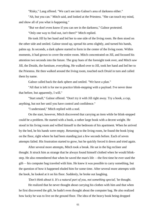"Risky," Lang offered. "We can't see into Galnor's area of darkness either."

"Ah, but you can." Mitch said, and looked at the Priestess. "She can touch my mind, and show all of you what is happening."

"But we don't even know if you can see in the darkness," Galnor protested.

"Only one way to find out, isn't there?" Mitch replied.

He took Jill by her hand and led her to one side of the living room. He then stood on the other side and smiled. Galnor stood up, spread his arms slightly, and turned his hands, palms up. In seconds, a dark sphere started to form in the center of the living room. Within moments, it had grown to cover the entire room. Mitch concentrated on Jill, and focused his attention two seconds into the future. The gray hues of the foresight took over, and Mitch saw Jill, the Druids, the furniture, everything. He walked over to Jill, took her hand and led her to the Priestess. He then walked around the living room, touched each Druid in turn and called them by name.

Galnor called back the dark sphere and smiled. "We have a plan."

"All that is left is for me to practice blink-stepping with a payload. I've never done that before, but apparently, I will."

"Start small," Galnor offered. "Don't try it with Jill right away. Try a book, a cup, anything, but not her until you have control and confidence."

"I understand," Mitch replied with a nod.

On the start, however, Mitch discovered that carrying an item while he blink-stepped could be a problem. He started with a book, a rather large book with a decent weight. He stood in his living room and willed himself to the bedroom of his apartment. When he arrived by the bed, he his hands were empty. Returning to the living room, he found the book lying on the floor, right where he had been standing just a few seconds before. Each of seven attempts failed. His frustration started to grow, but he quickly forced it down and tried again.

After several more attempts, Mitch took a break. He sat in the big recliner and thought. It struck him as strange that he always found himself clothed when he would blinkstep. He also remembered that when he saved the man's life —the first time he ever used the gift— his computer bag traveled with him. He knew it was possible to carry something, but the question of how it happened eluded him for some time. After several more attempts with the book, he looked at it on his floor. Suddenly, he broke out laughing.

*'Don't think about it. It's a natural part of you, not something special,'* he thought.

He realized that he never thought about carrying his clothes with him and that when he first discovered the gift, he hadn't even thought about the computer bag. He also realized how lucky he was to live on the ground floor. The idea of the heavy book being dropped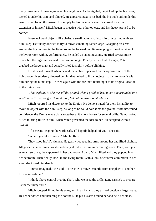many times would have aggravated his neighbors. As he giggled, he picked up the big book, tucked it under his arm, and blinked. He appeared next to his bed, the big book still under his arm. He had found the answer. He simply had to make whatever he carried a natural extension of himself. Mitch began to practice with other objects, and his theory proved to be correct.

Even awkward objects, like chairs, a small table, a sofa cushion, he carried with each blink-step. He finally decided to try to move something rather large. Wrapping his arms around the big recliner in the living room, he focused on blink-stepping to the other side of the living room with it. Unfortunately, he ended up standing alone. He tried several more times, but the big chair seemed to refuse to budge. Finally, with a hint of anger, Mitch grabbed the large chair and actually lifted it slightly before blinking.

He shocked himself when he and the recliner appeared on the opposite side of the living room. It suddenly dawned on him that he had to lift an object in order to move it with him during the blink-step. He tried again with the recliner, returning it to its original location in the living room.

*'That explains it*. *She was off the ground when I grabbed her. It can't be grounded or I won't move it,'* he thought. *'A limitation, but not an insurmountable one.'*

Mitch reported his discovery to the Druids. He demonstrated for them his ability to move an object with the blink-step, as long as he could hold it off the ground. With newfound confidence, the Druids made plans to gather at Galnor's house for several drills. Galnor asked Mitch to bring Jill with him. When Mitch presented the idea to her, Jill accepted without hesitation.

"If it means keeping the world safe, I'll happily help all of you," she said.

"Would you like to see it?" Mitch offered.

They stood in Jill's kitchen. He gently wrapped his arms around her and lifted slightly. Jill gasped in amazement as she suddenly stood with him, in her living room. Then, with just as much surprise, they appeared in her bathroom. Again, Mitch lifted and they popped into her bedroom. Then finally, back in the living room. With a look of extreme admiration in her eyes, she kissed him deeply.

"I never imagined," she said, "to be able to move instantly from one place to another. This is incredible."

"I think I have control over it. That's why we need the drills. Lang says it's to prepare us for the thirty-first."

Mitch scooped Jill up in his arms, and in an instant, they arrived outside a large house. He set her down and then rang the doorbell. He put his arm around her and held her close.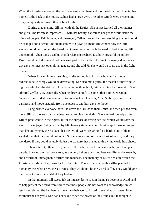When the Priestess answered the door, she smiled at them and motioned for them to enter her home. At the back of the house, Galnor had a large gym. The other Druids were present and everyone quickly arranged themselves for the drills.

During that evening, Jill met with all the Druids. She at last learned all their names and gifts. The Priestess impressed Jill with her beauty, as well as her gift to work inside the minds of people. Tall, blonde, and blue-eyed, Celice showed her how anything she held could be changed and altered. The small stature of Gywellyn made Jill wonder how the little woman could help. When she heard that Gywellyn would only be used to heal injuries, Jill understood. When Lang used his thunderclap, she realized just how powerful the police Druid could be. Eiler would not be taking part in the battle. The quiet brown-eyed woman's gift gave her mastery over all languages, and she told Jill she would be of no use in the fight to come.

When Jill saw Imhear use his gift, she smiled big. A man who could explode to redirect kinetic energy would be devastating. She also met Gyffes, the master of throwing. A big man who had the ability to hit any target he thought of, with anything he threw at it. She admired Gyffes' gift, especially when he threw a knife or some other pointed weapon. Galnor's zone of darkness continued to impress her. However, Mitch's ability to see in the darkness, and move instantly from one place to another, gave her hope.

Lang pushed everyone hard. He drove the Druids to their limits, and then pushed even more. Jill had the easy part, she just needed to play the victim. She watched intently as the Druids practiced with their gifts, all for the purpose of saving her life, which would save the world. She enjoyed being carried by Mitch every time he would blink-step. However, more than her enjoyment, she realized that the Druids were preparing for a battle none of them wanted, but that they could not avoid. She saw in several of them a look of worry, as if they wondered if they could actually defeat the creature that planed to throw the world into chaos.

Their intensity, their drive, caused Jill to admire the Druids as much more than just people. She saw them as protectors, as the only beings that stood between life as she knew it, and a world of unimaginable torture and madness. The memory of Mitch's vision, which the Priestess had shown her, came back to her mind. The horror of what this killer planned for humanity was what drove these Druids. They would not let the world suffer. They would give their lives to save the world, if they had to.

In that moment, Jill Reese felt an intense desire to join them. To become a Druid, and to help protect the world from forces that most people did not want to acknowledge, much less knew about. She had been thrown into their world, forced to see what had been hidden for thousands of years. She had not asked to see the power of the Druids, but that night in

63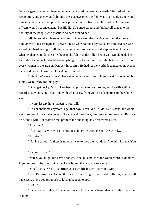Galnor's gym, she found them to be the most incredible people on earth. They asked for no recognition, and they would slip into the shadows once the fight was over. Only Lang would remain, and he would keep the Druids' presence secret from the other police. His fellow officers would not understand, but Jill did. She understood, and felt herself drawn to the nobility of the people who practiced so hard around her.

Mitch used the blink-step to take Jill home after the practice session. She looked at him, drawn to his strength and power. Those were not the only traits that attracted her. She kissed him hard, trying to tell him with her emotions how much she appreciated him, and what he planned to do. Despite the fear she felt over the killer, being with Mitch made her feel safe. She knew he would do everything to protect not only her life, but also the lives of every woman in the area on October thirty-first. He had to; the world depended on it, even if the world did not know about the danger it faced.

"I think we're ready. We'll have several more sessions to hone our skills together, but I think we're ready for this guy."

"Don't get cocky, Mitch. He's been impossible to catch so far, and he kills without regard as to whom. He's mad, and with what I saw, from you, he's dangerous to the whole world."

"I won't let anything happen to you, Jill."

"It's not about me anymore. I get that now. I can't die. If I do, by his hand, the whole world suffers. I don't have powers like you and the others; I'm just a mortal woman. But I can help, and I will. But promise me; promise me one thing, my dear sweet Mitch."

"Anything."

"If you can't save me, if it comes to a choice between me and the world…"

"Jill, stop."

"No, I'm serious. If there is no other way to save the world, don't let him kill me. You do it."

"I won't do that."

"Mitch, you might not have a choice. If he kills me, then the whole world is doomed. If you or one of the others kills me, he fails, and the world is kept safe."

"You'd do that? You'd sacrifice your own life to save the whole world?"

"Yes. Because I can't stand the idea of you, living in that world, suffering what we all have seen. I love you too much to let that happen to you."

"But…"

"Lang is a good shot. If it comes down to it, a bullet is better than what this freak has in mind."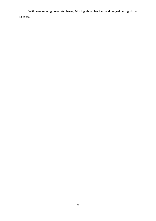With tears running down his cheeks, Mitch grabbed her hard and hugged her tightly to his chest.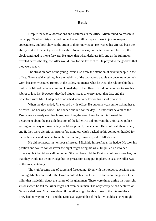## **Battle**

Despite the festive decorations and costumes in the office, Mitch found no reason to be happy. October thirty-first had come. He and Jill had gone to work, just to keep up appearances, but both showed the strain of their knowledge. He wished his gift had been the ability to stop time, not just see through it. Nevertheless, no matter how hard he tried, the clock continued to move forward. He knew that when darkness fell, and as the full moon traveled across the sky, the killer would look for his last victim. He prayed to the goddess that they were ready.

The stress on both of the young lovers also drew the attention of several people in the office. No one said anything, but the inability of the two young people to concentrate on their work became whispered rumors in the office. No matter what he tried, the relationship he'd built with Jill had become common knowledge in the office. He did not want her to lose her job, or to lose his. However, they had bigger issues to worry about that day, and the ridiculous rules Mr. Dunlap had established were very low on his list of priorities.

When the day ended, Jill stopped by his office. He put on a weak smile, asking her to be careful on her way home. She nodded and left for the day. He knew that several of the Druids were already near her house, watching the area. Lang had not informed the department about the possible location of the killer. He did not want the uninitiated police getting in the way of powers they could not possibly understand. He would call them when, and if, they were victorious. After a few minutes, Mitch packed up his computer, headed for the bathrooms, and once he found himself alone, blink-stepped to Jill's house.

He did not appear in her house. Instead, Mitch hid himself near the hedge. He took his position and waited for whatever the night might bring his way. Jill pulled up into her driveway, but he did not call out to her. She had been told the Druids would stay near her, but that they would not acknowledge her. A precaution Lang put in place, in case the killer was in the area, watching.

The vigil became one of stress and foreboding. Even with their practice sessions and training, Mitch wondered if the Druids could defeat the killer. He had seen things about the killer that made him doubt the nature of the giant man. There were times during his foresight visions when he felt the killer might not even be human. The only worry he had centered on Galnor's darkness. Mitch wondered if the killer might be able to see in the intense black. They had no way to test it, and the Druids all agreed that if the killer could see, they might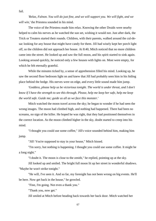fail.

*'Relax, Falnon. You will do just fine, and we will support you. We will fight, and we will win,'* the Priestess sounded in his mind.

The voice of the Priestess made him relax. Knowing the other Druids were nearby helped to calm his nerves as he watched the sun set, wishing it would not. Just after dark, the Trick or Treaters started their rounds. Children, with their parents, walked around the cul-desac looking for any house that might have candy for them. Jill had wisely kept her porch light off, so the children did not approach her house. At 8:40, Mitch noticed that no more children came into the street. He looked up and saw the full moon, and his spirit started to sink again. Looking around quickly, he noticed only a few houses with lights on. Most were empty, for which he felt eternally grateful.

While the minutes ticked by, a sense of apprehension filled his mind. Looking up, he saw the second floor bedroom light on and knew that Jill had probably seen him in his hiding place behind the hedge. His nerves were on edge, and every little sound made him jump.

*'Goddess, please help us be victorious tonight. The world is under threat, and I don't know if I have the strength to see this through. Please, help me keep her safe, help me keep the world safe. Guide me; guide us all as we face this monster.'*

Mitch watched the moon travel across the sky; he began to wonder if he had seen the wrong images. The moon had climbed high, and nothing had happened. There had been no screams, no sign of the killer. He hoped he was right, that they had positioned themselves in the correct location. As the moon climbed higher in the sky, doubt started to creep into his mind.

"I thought you could use some coffee," Jill's voice sounded behind him, making him jump.

"Jill! You're supposed to stay in your house," Mitch hissed.

"I'm sorry, but nothing is happening. I thought you could use some coffee. It might be a long night."

"I doubt it. The moon is close to the zenith," he replied, pointing up at the sky.

Jill looked up and smiled. The bright full moon lit up her street in wonderful shadows. "Maybe he won't strike tonight."

"He will, I've seen it. And so far, my foresight has not been wrong on big events. He'll be here. Now get back in the house," he growled.

"Fine, I'm going. Not even a thank you."

"Thank you, now get."

Jill smiled at Mitch before heading back towards her back door. Mitch watched her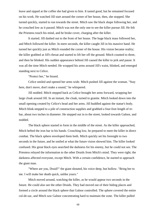leave and sipped at the coffee she had given to him. It tasted good, but he remained focused on his work. He watched Jill start around the corner of her house, then, she stopped. She turned quickly, started to run towards the street. Mitch saw the black shape following her, and he crouched low as it passed. Mitch was not the only one to see the killer pursue Jill. He felt the Priestess touch his mind, and he broke cover, charging after the killer.

It started. Jill dashed out to the front of her house. The huge black mass followed her, and Mitch followed the killer. In mere seconds, the killer caught Jill in his massive hand. He turned her quickly just as Mitch rounded the corner of the house. His vision became reality; the killer grabbed at Jill's throat and started to lift her off the ground. Mitch counted to three, and then he blinked. His sudden appearance behind Jill caused the killer to jerk and pause. It was all the time Mitch needed. He wrapped his arms around Jill's waist, blinked, and emerged standing next to Celice.

"Protect her," he hissed.

Celice smiled and opened her arms wide. Mitch pushed Jill against the woman. "Stay here, don't move, don't make a sound," he whispered.

Jill nodded. Mitch stepped back as Celice brought her arms forward, wrapping her large cloak around Jill. In an instant, the cloak, turned to granite. Mitch looked down into the small opening created by Celice's head and her arms. Jill huddled against the statue's body. Mitch blink-stepped to a pile of construction supplies and grabbed a four-foot length of rebar, about two inches in diameter. He stepped out in to the street, looked towards Galnor, and nodded.

The black sphere started to form in the middle of the street. As the killer approached, Mitch hefted the iron bar in his hands. Crouching low, he prepared to meet the killer in direct combat. The black sphere enveloped them both. Mitch quickly set his foresight to two seconds in the future, and he smiled at what the future vision showed him. The killer looked confused. His great black eyes searched the darkness for his enemy, but he could not see. The Priestess relayed the information to the other Druids from Mitch's mind. They were right; the darkness affected everyone, except Mitch. With a certain confidence, he started to approach the giant man.

"Where are you, Druid?" the giant shouted, his voice deep, but hollow. "Bring her to me. I will make her death quick, unlike yours."

Mitch moved around, watching the killer, as he would appear two seconds in the future. He could also see the other Druids. They had moved out of their hiding places and formed a circle around the black sphere that Galnor controlled. The sphere covered the entire cul-de-sac, and Mitch saw Galnor concentrating hard to maintain the zone. The killer pulled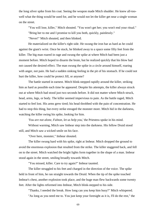the long silver spike from his coat. Seeing the weapon made Mitch shudder. He knew all-toowell what the thing would be used for, and he would not let the killer get near a single woman on the street.

"You will lose, killer," Mitch shouted. "You won't get her; you won't end your ritual." "Bring her to me and I promise to kill you both, quickly, painlessly."

"Never!" Mitch shouted, and then blinked.

He materialized on the killer's right side. He swung the iron bar as hard as he could against the giant's wrist. Once he stuck, he blinked away to a space some fifty feet from the killer. The big man roared in rage and swung the spike at where Mitch had been just a moment before. Mitch hoped to disarm the brute, but he realized quickly that his blow had not caused the desired effect. The man swung the spike in a circle around himself, roaring with anger, not pain. He had a sudden sinking feeling in the pit of his stomach. If he could not hurt the killer, how could he protect Jill, or anyone?

The battle started in earnest. Mitch blink-stepped rapidly around the killer, striking him as hard as possible each time he appeared. Despite his attempts, the killer always struck out at where Mitch had stood just two seconds before. It did not matter where Mitch struck, head, arms, legs, or body. The killer seemed impervious to pain. As the battle raged, Mitch started to feel lost. His arms grew tired; his head throbbed with the pain of concentration. He had to stop this thing, but every strike enraged the monster more. Mitch hid in the darkness, watching the killer swing his spike, looking for him.

*'You are not alone, Falnon, let us help y*ou,' the Priestess spoke in his mind.

Without warning, Mitch saw Imhear step into the darkness. His fellow Druid stood still, and Mitch saw a wicked smile on his face.

"Over here, monster," Imhear shouted.

The killer swung hard with his spike, right at Imhear. Mitch dropped the ground to avoid the enormous explosion that resulted from the strike. The killer staggered back, and fell on to the street. Mitch watched the bright lights form together in the shape of a man. Imhear stood again in the street, smiling broadly towards Mitch.

"You missed, killer. Care to try again?" Imhear taunted.

The killer struggled to his feet and charged in the direction of the voice. The spike held in front of him, he ran straight towards the Druid. When the tip of the spike touched Imhear's chest, another explosion took place, and the huge man flew backwards some twenty feet. After the lights reformed into Imhear, Mitch blink-stepped to his side.

"Thanks, I needed the break. How long can you keep him busy?" Mitch whispered. "As long as you need me to. You just keep your foresight as it is, I'll do the rest," the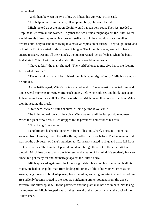man replied.

"Well then, between the two of us, we'll beat this guy yet," Mitch said.

"Just help me see him, Falnon, I'll keep him busy," Imhear offered.

Mitch looked up at the moon. Zenith would happen very soon. They just needed to keep the killer from all the women. Together the two Druids fought against the killer. Mitch would use his blink-step to get in close and strike hard. Imhear would attract the killer towards him, only to send him flying in a massive explosion of energy. They fought hard, and both of the Druids started to show signs of fatigue. The killer, however, seemed to have energy to spare. Despite all their attacks, the monster acted just as fresh as when the battle first started. Mitch looked up and wished the moon would move faster.

"I have to kill," the giant shouted. "The world belongs to me, give her to me. Let me finish what must be."

"The only thing that will be finished tonight is your reign of terror," Mitch shouted as he blinked.

As the battle raged, Mitch's control started to slip. The exhaustion affected him, and it took several moments to recover after each attack, before he could see and blink-step again. Imhear looked worn as well. The Priestess advised Mitch on another course of action. Mitch took it, needing the break.

"Over here, fucker," Mitch shouted, "Come get me if you can!"

The killer moved towards the voice. Mitch waited until the last possible moment. When the giant drew near, Mitch dropped to the pavement and covered his ears.

"Now, Lang!" he shouted.

Lang brought his hands together in front of his body, hard. The sonic boom that sounded from Lang's gift sent the killer flying further than ever before. The big man in flight was not the only result of Lang's thunderclap. Car alarms started to ring, and glass fell from broken windows. The thunderclap would no doubt bring others out to the street. At that thought, Mitch lost contact with the Priestess as she let go of his mind. He suddenly felt very alone, but got ready for another barrage against the killer's body.

Mitch appeared again near the killer's right side. He swung his iron bar with all his might. He had to keep this man from finding Jill, or any of the other women. Even as he swung, he got ready to blink-step away from the killer, knowing his attack would do nothing. He suddenly became rooted to the spot, as a sickening crunch sounded from the giant's forearm. The silver spike fell to the pavement and the giant man howled in pain. Not losing his momentum, Mitch dropped low, driving the end of the iron bar against the back of the killer's knee.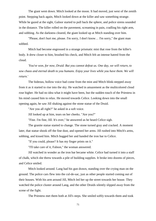The giant went down. Mitch looked at the moon. It had moved, just west of the zenith point. Stepping back again, Mitch looked down at the killer and saw something strange. While he gazed at the sight, Galnor started to pull back the sphere, and police sirens sounded in the distance. The killer rolled on the pavement, screaming in pain, cradling his right arm, and sobbing. As the darkness cleared, the giant looked up at Mitch standing over him.

"Please, don't hurt me, please. I'm sorry, I don't know… I'm sorry," the giant man sobbed.

Mitch had become engrossed in a strange prismatic mist that rose from the killer's body. It drew closer to him, brushed his check, and Mitch felt an intense hatred from the cloud.

*'You've won, for now, Druid. But you cannot defeat us. One day, we will return, to sow chaos and eternal death to you humans. Enjoy your lives while you have them. We will return.'*

The hideous, hollow voice had come from the mist and Mitch blink-stepped away from it as it started to rise into the sky. He watched in amazement as the multicolored cloud rose higher. He had no idea what it might have been, but the sudden touch of the Priestess in his mind caused him to relax. He moved towards Celice. Looking down into the small opening again, he saw Jill shaking against the stone statue of the Druid.

"Are you all right?" he asked in a soft voice.

Jill looked up at him, tears on her cheeks. "Are you?"

"Fine. I'm fine, Jill. It's over," he answered as he heard Celice sigh.

The granite statue started to change. The stone turned gray and cracked. A moment later, that statue shook off the fine dust, and opened her arms. Jill rushed into Mitch's arms, sobbing, and kissed him. Mitch hugged her and handed the iron bar to Celice.

"If you could, please? It has my finger prints on it."

"I'll take care of it, Falnon," the woman answered.

Jill watched in wonder as the iron bar became white. Celice had turned it into a staff of chalk, which she threw towards a pile of building supplies. It broke into dozens of pieces, and Celice smiled.

Mitch looked around. Lang had his gun drawn, standing over the crying man on the ground. The police cars flew into the cul-de-sac, just as other people started coming out of their houses. With his arm around Jill, Mitch led her up the street towards her house. They watched the police cluster around Lang, and the other Druids silently slipped away from the scene of the fight.

The Priestess met them both at Jill's steps. She smiled softly towards them and took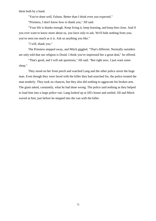them both by a hand.

"You've done well, Falnon. Better than I think even you expected."

"Priestess, I don't know how to thank you," Jill said.

"Your life is thanks enough. Keep living it, keep learning, and keep him close. And if you ever want to know more about us, you have only to ask. We'll hide nothing from you; you've seen too much as it is. Ask us anything you like."

"I will, thank you."

The Priestess stepped away, and Mitch giggled. "That's different. Normally outsiders are only told that our religion is Druid. I think you've impressed her a great deal," he offered.

"That's good, and I will ask questions," Jill said. "But right now, I just want some sleep."

They stood on her front porch and watched Lang and the other police arrest the huge man. Even though they were faced with the killer they had searched for, the police treated the man tenderly. They took no chances, but they also did nothing to aggravate his broken arm. The giant asked, constantly, what he had done wrong. The police said nothing as they helped to load him into a large police van. Lang looked up at Jill's house and smiled. Jill and Mitch waved at him, just before he stepped into the van with the killer.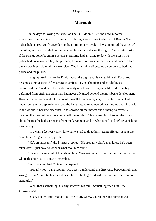## **Aftermath**

In the days following the arrest of The Full Moon Killer, the news reported everything. The morning of November first brought good news to the city of Boston. The police held a press conference during the morning news cycle. They announced the arrest of the killer, and reported that no murders had taken place during the night. The reporters asked if the strange sonic boom in Boston's North End had anything to do with the arrest. The police had no answers. They did promise, however, to look into the issue, and hoped to find the answer in possible military exercises. The killer himself became an enigma to both the police and the public.

Lang reported it all to the Druids about the big man. He called himself Todd, and became a strange case. After several examinations, psychiatrists and psychologists determined that Todd had the mental capacity of a four- or five-year-old child. Horribly deformed from birth, the giant man had never advanced beyond the most basic development. How he had survived and taken care of himself became a mystery. He stated that he had never seen the long spike before, and the last thing he remembered was finding a talking hole in the woods. It became clear that Todd showed all the indications of being so severely disabled that he could not have pulled off the murders. This caused Mitch to tell the others about the mist he had seen rising from the large man, and of what it had said before vanishing into the sky.

"In a way, I feel very sorry for what we had to do to him," Lang offered. "But at the same time, I'm glad we stopped him."

"He's an innocent," the Priestess replied. "He probably didn't even know he'd been taken over. I just have to wonder what took him over."

"He said it came out of the talking hole. We can't get any information from him as to where this hole is. He doesn't remember."

"Will he stand trial?" Galnor whispered.

"Probably not," Lang replied. "He doesn't understand the difference between right and wrong. He can't even tie his own shoes. I have a feeling court will find him incompetent to stand trial."

"Well, that's something. Clearly, it wasn't his fault. Something used him," the Priestess said.

"Yeah, I know. But what do I tell the court? Sorry, your honor, but some power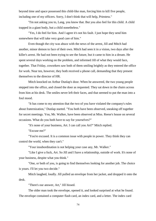beyond time and space possessed this child-like man, forcing him to kill five people, including one of my officers. Sorry, I don't think that will help, Priestess."

"I'm not asking you to, Lang, you know that. But you also feel for this child. A child trapped in a giant body, but a child nonetheless."

"Yes, I do feel for him. And I agree it's not his fault. I just hope they send him somewhere that will take very good care of him."

Even though the city was abuzz with the news of the arrest, Jill and Mitch had another, minor demon to face of their own. Mitch had seen it in a vision, two days after the killer's arrest. He had not been trying to see the future, but it came to him in a dream. He spent several days working on the problem, and informed Jill of what they would face, together. That Friday, coworkers saw both of them smiling brightly as they entered the office for work. Near ten, however, they both received a phone call, demanding that they present themselves to the director of HR.

Mitch knocked on Arthur Dunlap's door. When he answered, the two young people stepped into the office, and closed the door as requested. They sat down in the chairs across from him at his desk. The smiles never left their faces, and that seemed to put the man into a foul mood.

"It has come to my attention that the two of you have violated the company's rules about fraternization," Dunlap started. "You both have been observed, sneaking off together for secret meetings. You, Mr. Walker, have been observed at Miss. Reese's house on several occasions. What do you both have to say for yourselves?"

"It's none of your business, Art. I can call you Art?" Mitch replied.

"Excuse me?"

"You're excused. It is a common issue with people in power. They think they can control the world, when they can't."

"Your insubordination is not helping your case any, Mr. Walker."

"Like I give a fuck, Art. So Jill and I have a relationship, outside of work. It's none of your business, despite what you think."

"One, or both of you, is going to find themselves looking for another job. The choice is yours. I'll let you two decide."

Mitch laughed, loudly. Jill pulled an envelope from her jacket, and dropped it onto the desk.

"There's our answer, Art," Jill hissed.

The older man took the envelope, opened it, and looked surprised at what he found. The envelope contained a computer flash card, an index card, and a letter. The index card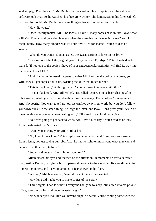said simply, "Play the card." Mr. Dunlap put the card into his computer, and the auto start software took over. As he watched, his face grew whiter. The faint sweat on his forehead left no room for doubt. Mr. Dunlap saw something on his screen that meant trouble.

"How did you…"

"Does it really matter, Art? The fact is, I have it, many copies of it, in fact. Now, what will Mrs. Dunlap and your daughter say when they see this on the evening news? And I mean, really. How many blondes was it? Four, five? Art, for shame," Mitch said as he sneered.

"What do you want?" Dunlap asked, the sweat starting to form on his brow.

"It's easy, read the letter, sign it, give it to your boss. Bye-bye." Mitch laughed as he waved. "If not, one of the copies I have of your extracurricular activities will find its way into the hands of our CEO."

"And if anything unusual happens to either Mitch or me, the police, the press, your wife, they all get copies," Jill said, twisting the knife that much further.

"This is blackmail," Arthur growled. "You two won't get away with this."

"It's not blackmail, Art," Jill replied, "it's called justice. You've been chasing after other women while your wife and daughter have been away. The word you're searching for, Art, is hypocrite. You want to tell us how we can live away from work, but you don't follow your own rules. Do the smart thing, Art, sign the letter, and leave. Don't press your luck. You have no idea who or what you're dealing with," Jill stated in a cold, direct voice.

"So, we're going to get back to work, Art. Have a nice day," Mitch said as he led Jill from the defeated man's office.

"Aren't you abusing your gifts?" Jill asked.

"No, I don't think I am," Mitch replied as he took her hand. "I'm protecting women from a letch, not just saving our jobs. Also, he has no right telling anyone what they can and cannot do in their private lives."

"So, what does your foresight tell you now?"

Mitch closed his eyes and focused on the afternoon. In moments he saw a defeated man, Arthur Dunlap, carrying a box of personal belongs to the elevator. His eyes did not rise to meet any others, and a certain amount of fear showed in his face.

"We win," Mitch answered, "even if it's not the way we wanted."

"How long did it take you to make copies of his stash?"

"Three nights. I had to wait till everyone had gone to sleep, blink-step into his private office, start the copies, and hope I wasn't caught."

"No wonder you look like you haven't slept in a week. You're coming home with me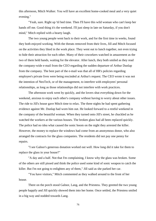this afternoon, Mitch Walker. You will have an excellent home-cooked meal and a very quiet evening."

"Yeah, sure. Right up 'til bed time. Then I'll have this wild woman who can't keep her hands off me. Good thing it's the weekend. I'll just sleep in late on Saturday, if you don't mind," Mitch replied with a hearty laugh.

The two young people went back to their work, and for the first time in weeks, found they both enjoyed working. With the threats removed from their lives, Jill and Mitch focused on the activities they liked in the work place. They went out to lunch together, not even trying to hide their attraction for each other. Many of their coworkers watched in amazement as the two of them held hands, waiting for the elevator. After lunch, they both smiled as they read the company-wide e-mail from the CEO regarding the sudden departure of Arthur Dunlap from the company. The best part of the e-mail was that all of HR's policies regarding employee's private lives were being rescinded at Arthur's request. The CEO wrote it was not the intention of NeoTech, or of the management, to interfere with employees' personal relationships, as long as those relationships did not interfere with work practices.

The afternoon work went by quickly, and the lovers shut everything down for the weekend, anxious to enjoy each other's company without having to worry about other issues. The ride to Jill's house gave Mitch time to relax. The three nights he had spent gathering evidence against Mr. Dunlap had worn him out. He looked forward to a restful weekend in the company of the beautiful woman. When they turned onto Jill's street, he chuckled as he watched the workers at the various houses. The broken glass had all been replaced quickly. The police had no idea what caused the sonic boom on the night they arrested the killer. However, the money to replace the windows had come from an anonymous donor, who also arranged the contracts for the glass companies. The residents did not pay one penny for repairs.

"I see Galnor's generous donation worked out well. How long did it take for them to replace the glass in your house?"

"A day and a half. Not that I'm complaining, I know why the glass was broken. Some of the others are still pissed and think the police used some kind of sonic weapon to catch the killer. But I'm not going to enlighten any of them," Jill said as she parked her car.

"You have visitors," Mitch commented as they walked around to the front of her house.

There on the porch stood Galnor, Lang, and the Priestess. They greeted the two young people happily and Jill quickly showed them into her home. Once settled, the Priestess smiled in a big way and nodded towards Lang.

76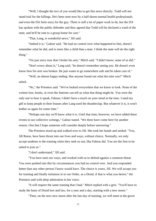"Well, I thought the two of you would like to get this news directly. Todd will not stand trial for the killings. He's been seen now by a half-dozen mental health professionals and even the DA feels sorry for the guy. There is still a lot of paper work to do, but the DA has spoken with the public defender and they agreed that Todd will be declared a ward of the state, and he'll be sent to a group home for care."

"That, Lang, is wonderful news," Jill said.

"Indeed it is," Galnor said. "He had no control over what happened to him, doesn't remember what he did, and is more like a child than a man. I think the state will do the right thing."

"I'm just sorry now that I broke his arm," Mitch said. "I didn't know; none of us did."

"Don't worry about it," Lang said, "he doesn't remember seeing you. He doesn't even know how his arm was broken. He just wants to go somewhere safe and be taken care of."

"Well, an almost happy ending. Has anyone found out what the mist was?" Mitch asked.

"No," the Priestess said. "We've looked everywhere that we know to look. None of the written lore, books, or even the Internet can tell us what that thing might be. You were the only one to hear it speak, Falnon; I didn't have a touch on your mind at the time. I used my gift to keep people in their houses after Lang used the thunderclap. But whatever it is, it won't bother us again for some time."

"Perhaps one day we'll know what it is. Until that time, however, we have added these events to our collective writings," Galnor stated. "We three have come here for another reason. One that I hope someone will consider deeply before answering."

The Priestess stood up and walked over to Jill. She took her hands and smiled. "You, Jill Reese, have been thrust into our lives and ways, without choice. Normally, we only accept students to the training when they seek us out, like Falnon did. You are the first to be asked to join us."

"I don't understand," Jill said.

"You have seen our ways, and worked with us to defend against a common threat. You were pushed into this by circumstances you had no control over. And you responded better than any other person I know would have. The choice is yours, Jill. We will accept you for training and finally initiation in to our Order, as a Druid, if that is what you desire," the Priestess said with deep admiration in her voice.

"It will require the same training that I had," Mitch replied with a grin. "You'll have to study the basis of Druid lore and law, for a year and a day, starting with a new moon."

"Then, on the next new moon after the last day of training, we will meet in the grove

77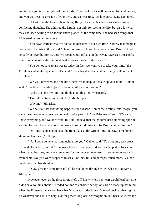and initiate you into the rights of the Druids. Your black cloak will be traded for a white one, and you will receive a vision of your own, and a sliver ring, just like ours," Lang explained.

Jill looked at the four of them thoughtfully. Her mind became a swirling mass of conflicting thoughts. She admired the Druids, not only for saving her life, but also for what they had been willing to do for the entire planet. At the same time, she had seen things that frightened her to her very core.

"You have learned what we all had to discover in our own time. Namely that magic is real, and still exists in this world," Galnor offered. "Those of us that are now Druid did not actually believe the stories, until we received our gifts. You, however, have seen those gifts in action. You know they are real, and I can see that it frightens you."

"You do not have to answer us today. In fact, we want you to take your time," the Priestess said as she squeezed Jill's hand. "It is a big decision, and one that you should not rush into."

"We will, however, add one little incentive to help you make up your mind," Galnor said. "Should you decide to join us, Falnon will be your teacher."

"And I can take my time and think about this," Jill whispered.

"Take all the time you need, Jill," Mitch replied.

"Why me?" Jill asked.

"We believe that everything happens for a reason. Somehow, destiny, fate, magic, you were meant to see what we can do, and to take part in it," the Priestess offered. "We can't know everything, and we don't want to. But I believe that the goddess has something special waiting for you. It's almost as if you were born Druid, meant to be Druid your entire life."

"Or, I just happened to be at the right place at the wrong time, and saw something I shouldn't have seen," Jill replied.

"No, I don't believe that, and neither do you," Galnor said. "You not only saw great evil and chaos, but you didn't run away from it. You practiced with us, helped us focus on what had to be done, and even feel sorry for the innocent man used by some force we can't even name. No, you were supposed to see all of this, Jill, and perhaps, much more." Galnor gently touched her shoulder.

"Okay, give me some time and I'll let you know through Mitch what my answer is," Jill replied.

However, even as the three Druids left, Jill knew where her heart would lead her. She didn't have to think about it, needed no time to consider her options. She'd made up her mind when the Priestess had shown her what Mitch saw of the future. She had decided that night to do whatever she could to help. Not for power, or glory, or recognition, but because it was the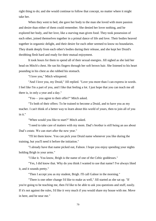right thing to do; and she would continue to follow that concept, no matter where it might take her.

When they went to bed, she gave her body to the man she loved with more passion and desire than either of them could remember. She denied her lover nothing, and he explored her body, and her love, like a starving man given food. They took possession of each other, joined themselves together in a primal dance of life and love. Their bodies heaved together in orgasmic delight, and their desire for each other seemed to know no boundaries. They drank deeply from each other's bodies during their release, and she kept her Druid's throbbing flesh hard and ready for their mutual enjoyment.

It took hours for them to spend all of their sexual energies. Jill sighed as she laid her head on Mitch's chest. He ran his fingers through her soft brown hair. She listened to his heart pounding in his chest as she rubbed his stomach.

"I love you," Mitch whispered.

"And I love you, my Druid," Jill replied. "Love you more than I can express in words. I feel like I'm a part of you, and I like that feeling a lot. I just hope that you can teach me all there is, in only a year and a day."

"You— you agree to their offer?" Mitch asked.

"To both of their offers: To be trained to become a Druid, and to have you as my teacher. I can't think of a better way to learn about this world of yours, then to join all of you in it."

"When would you like to start?" Mitch asked.

"I need to take care of matters with my mom. Dad's brother is still being an ass about Dad's estate. We can start after the new year."

"I'll let them know. You can pick your Druid name whenever you like during the training, but you'll need it before the initiation."

"I already have that name picked out, Falnon. I hope you enjoy spending your nights holding Brigh in your arms."

"I like it. You know, Brigh is the name of one of the Celtic goddesses."

"Yes, I did know that. Why do you think I wanted to use that name? I've always liked it, and it sounds pretty."

"Then I accept you as my student, Brigh. I'll call Galnor in the morning."

"There is one other change I'd like to make as well," Jill started as she sat up. "If you're going to be teaching me, then I'd like to be able to ask you questions and stuff, easily. If it's not against the rules, I'd like it very much if you would share my house with me. Move in here, and be near me."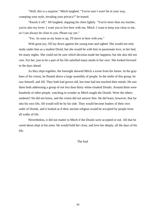"Well, this is a surprise." Mitch laughed. "You're sure I won't be in your way, cramping your style, invading your privacy?" he teased.

"Knock it off." Jill laughed, slapping his chest lightly. "You're more than my teacher, you're also my lover. I want you to live here with me, Mitch. I want to keep you close to me, so I can always be close to you. Please say yes."

"Yes. As soon as my lease is up, I'll move in here with you."

With great joy, Jill lay down against the young man and sighed. She would not only study under him as a student Druid, but she would be with him in passionate love, in her bed, for many nights. She could not be sure which decision made her happiest, but she also did not care. For her, just to be a part of his life satisfied many needs in her own. She looked forward to the days ahead.

As they slept together, the foresight showed Mitch a scene from his future. In the gray hues of his vision, he floated above a large assembly of people. In the midst of this group, he saw himself, and Jill. They both had grown old, but time had not touched their minds. He saw them both addressing a group of not less than thirty white-cloaked Druids. Around them were hundreds of other people, watching in wonder as Mitch taught the Druids. Were the others students? He did not know, and the vision did not answer him. He did learn, however, that far into his own life, Jill would still be by his side. They would become leaders of their own order of Druids, and it looked as if their ancient religion would be accepted by people from all walks of life.

Nevertheless, it did not matter to Mitch if the Druids were accepted or not. All that he cared about slept in his arms. He would hold her close, and love her deeply, all the days of his life.

The End